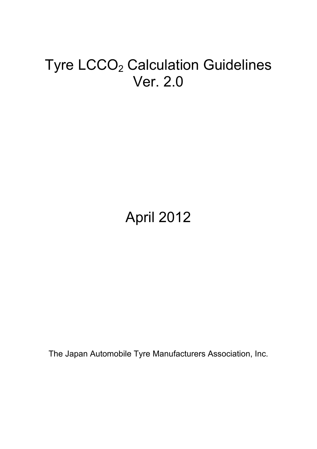# Tyre LCCO<sub>2</sub> Calculation Guidelines Ver. 2.0

# April 2012

The Japan Automobile Tyre Manufacturers Association, Inc.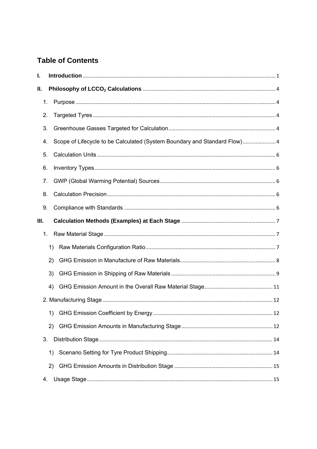# **Table of Contents**

| ı. |    |                                                                           |  |
|----|----|---------------------------------------------------------------------------|--|
| П. |    |                                                                           |  |
|    | 1. |                                                                           |  |
|    | 2. |                                                                           |  |
|    | 3. |                                                                           |  |
|    | 4. | Scope of Lifecycle to be Calculated (System Boundary and Standard Flow) 4 |  |
|    | 5. |                                                                           |  |
|    | 6. |                                                                           |  |
|    | 7. |                                                                           |  |
|    | 8. |                                                                           |  |
|    | 9. |                                                                           |  |
| Ш. |    |                                                                           |  |
|    | 1. |                                                                           |  |
|    | 1) |                                                                           |  |
|    | 2) |                                                                           |  |
|    | 3) |                                                                           |  |
|    |    |                                                                           |  |
|    | 4) |                                                                           |  |
|    |    |                                                                           |  |
|    | 1) |                                                                           |  |
|    | 2) |                                                                           |  |
|    | 3. |                                                                           |  |
|    | 1) |                                                                           |  |
|    | 2) |                                                                           |  |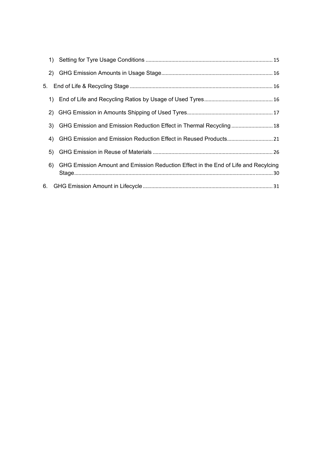|    | 3) GHG Emission and Emission Reduction Effect in Thermal Recycling 18                 |
|----|---------------------------------------------------------------------------------------|
| 4) | GHG Emission and Emission Reduction Effect in Reused Products 21                      |
|    |                                                                                       |
|    | 6) GHG Emission Amount and Emission Reduction Effect in the End of Life and Recylcing |
|    |                                                                                       |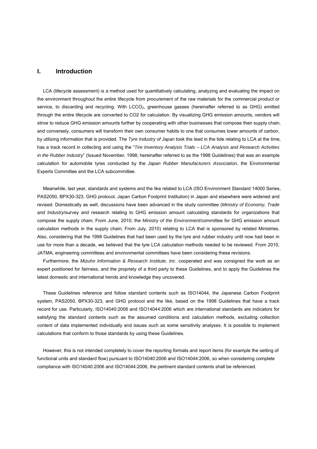#### **I. Introduction**

LCA (lifecycle assessment) is a method used for quantitatively calculating, analyzing and evaluating the impact on the environment throughout the entire lifecycle from procurement of the raw materials for the commercial product or service, to discarding and recycling. With LCCO<sub>2</sub>, greenhouse gasses (hereinafter referred to as GHG) emitted through the entire lifecycle are converted to CO2 for calculation. By visualizing GHG emission amounts, vendors will strive to reduce GHG emission amounts further by cooperating with other businesses that compose their supply chain, and conversely, consumers will transform their own consumer habits to one that consumes lower amounts of carbon, by utilizing information that is provided. The *Tyre Industry of Japan* took the lead in the tide relating to LCA at the time, has a track record in collecting and using the "*Tire Inventory Analysis Trials – LCA Analysis and Research Activities in the Rubber Industry*" (Issued November, 1998; hereinafter referred to as the 1998 Guidelines) that was an example calculation for automobile tyres conducted by the *Japan Rubber Manufacturers Association*, the Environmental Experts Committee and the LCA subcommittee.

Meanwhile, last year, standards and systems and the like related to LCA (ISO Environment Standard 14000 Series, PAS2050, BPX30-323, GHG protocol, Japan Carbon Footprint Institution) in Japan and elsewhere were widened and revised. Domestically as well, discussions have been advanced in the study committee (*Ministry of Economy, Trade and Industry*/survey and research relating to GHG emission amount calculating standards for organizations that compose the supply chain; From June, 2010; the *Ministry of the Environment*/committee for GHG emission amount calculation methods in the supply chain; From July, 2010) relating to LCA that is sponsored by related Ministries. Also, considering that the 1998 Guidelines that had been used by the tyre and rubber industry until now had been in use for more than a decade, we believed that the tyre LCA calculation methods needed to be reviewed. From 2010, JATMA, engineering committees and environmental committees have been considering these revisions.

Furthermore, the *Mizuho Information & Research Institute, Inc*. cooperated and was consigned the work as an expert positioned for fairness, and the propriety of a third party to these Guidelines, and to apply the Guidelines the latest domestic and international trends and knowledge they uncovered.

These Guidelines reference and follow standard contents such as ISO14044, the Japanese Carbon Footprint system, PAS2050, BPX30-323, and GHG protocol and the like, based on the 1998 Guidelines that have a track record for use. Particularly, ISO14040:2006 and ISO14044:2006 which are international standards are indicators for satisfying the standard contents such as the assumed conditions and calculation methods, excluding collection content of data implemented individually and issues such as some sensitivity analyses. It is possible to implement calculations that conform to those standards by using these Guidelines.

However, this is not intended completely to cover the reporting formats and report items (for example the setting of functional units and standard flow) pursuant to ISO14040:2006 and ISO14044:2006, so when considering complete compliance with ISO14040:2006 and ISO14044:2006, the pertinent standard contents shall be referenced.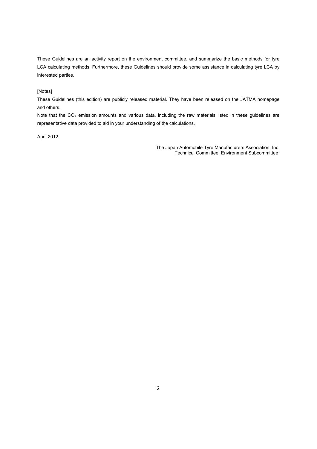These Guidelines are an activity report on the environment committee, and summarize the basic methods for tyre LCA calculating methods. Furthermore, these Guidelines should provide some assistance in calculating tyre LCA by interested parties.

#### [Notes]

These Guidelines (this edition) are publicly released material. They have been released on the JATMA homepage and others.

Note that the CO<sub>2</sub> emission amounts and various data, including the raw materials listed in these guidelines are representative data provided to aid in your understanding of the calculations.

#### April 2012

The Japan Automobile Tyre Manufacturers Association, Inc. Technical Committee, Environment Subcommittee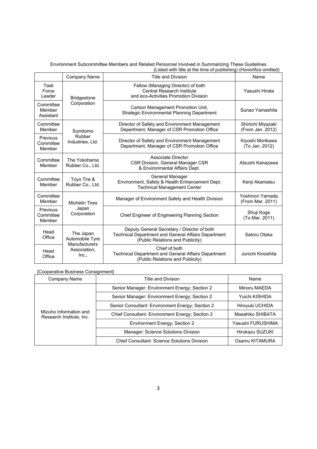#### Environment Subcommittee Members and Related Personnel Involved in Summarizing These Guidelines (Listed with title at the time of publishing) (Honorifics omitted)

|                                                         | Company Name                                                                  | Title and Division                                                                                                                     | Name                                  |
|---------------------------------------------------------|-------------------------------------------------------------------------------|----------------------------------------------------------------------------------------------------------------------------------------|---------------------------------------|
| Task<br>Force<br>Leader                                 | <b>Bridgestone</b>                                                            | Fellow (Managing Director) of both<br>Central Research Institute<br>and eco-Activities Promotion Division                              | Yasushi Hirata                        |
| Committee<br>Member<br>Assistant                        | Corporation                                                                   | Carbon Management Promotion Unit,<br><b>Strategic Environmental Planning Department</b>                                                | Sunao Yamashita                       |
| Committee<br>Member                                     | Sumitomo                                                                      | Director of Safety and Environment Management<br>Depertment, Manager of CSR Promotion Office                                           | Shinichi Miyazaki<br>(From Jan. 2012) |
| Previous<br>Committee<br>Member                         | Rubber<br>Industries, Ltd.                                                    | Director of Safety and Environment Management<br>Depertment, Manager of CSR Promotion Office                                           | Kiyoshi Morikawa<br>(To Jan. 2012)    |
| Committee<br>Member                                     | The Yokohama<br>Rubber Co., Ltd.                                              | Associate Director<br>CSR Division, General Manager CSR<br>& Environmental Affairs Dept.                                               | Atsushi Kanazawa                      |
| Committee<br>Toyo Tire &<br>Rubber Co., Ltd.<br>Member  |                                                                               | General Manager<br>Environment, Safety & Health Enhancement Dept.<br><b>Technical Management Center</b>                                | Kenji Akamatsu                        |
| Committee<br>Member                                     | <b>Michelin Tires</b>                                                         | Manager of Environment Safety and Health Division                                                                                      | Yoshinori Yamada<br>(From Mar. 2011)  |
| Japan<br>Previous<br>Corporation<br>Committee<br>Member |                                                                               | Chief Engineer of Engineering Planning Section                                                                                         | Shuji Koge<br>(To Mar. 2011)          |
| Head<br>Office                                          | The Japan<br>Automobile Tyre<br><b>Manufacturers</b><br>Association,<br>Inc., | Deputy General Secretary / Director of both<br>Technical Department and General Affairs Department<br>(Public Relations and Publicity) | Satoru Otaka                          |
| Head<br>Office                                          |                                                                               | Chief of both<br>Technical Department and General Affairs Department<br>(Public Relations and Publicity)                               | Junichi Kinoshita                     |

### [Cooperative Business Consignment]

| Company Name                                       | Title and Division                               | Name              |
|----------------------------------------------------|--------------------------------------------------|-------------------|
|                                                    | Senior Manager: Environment Energy; Section 2    | Minoru MAEDA      |
|                                                    | Senior Manager: Environment Energy; Section 2    | Yuichi KISHIDA    |
|                                                    | Senior Consultant: Environment Energy; Section 2 | Hiroyuki UCHIDA   |
| Mizuho Information and<br>Research Institute, Inc. | Chief Consultant: Environment Energy; Section 2  | Masahiko SHIBATA  |
|                                                    | Environment Energy; Section 2                    | Yasushi FURUSHIMA |
|                                                    | Manager: Science Solutions Division              | Hirokazu SUZUKI   |
|                                                    | Chief Consultant: Science Solutions Division     | Osamu KITAMURA    |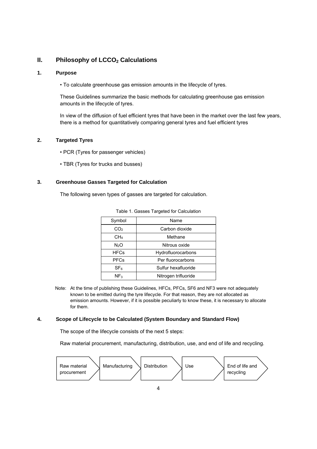# **II.** Philosophy of LCCO<sub>2</sub> Calculations

#### **1. Purpose**

• To calculate greenhouse gas emission amounts in the lifecycle of tyres.

These Guidelines summarize the basic methods for calculating greenhouse gas emission amounts in the lifecycle of tyres.

In view of the diffusion of fuel efficient tyres that have been in the market over the last few years, there is a method for quantitatively comparing general tyres and fuel efficient tyres

#### **2. Targeted Tyres**

- PCR (Tyres for passenger vehicles)
- TBR (Tyres for trucks and busses)

### **3. Greenhouse Gasses Targeted for Calculation**

The following seven types of gasses are targeted for calculation.

| Symbol           | Name                 |
|------------------|----------------------|
| CO <sub>2</sub>  | Carbon dioxide       |
| CH <sub>4</sub>  | Methane              |
| N <sub>2</sub> O | Nitrous oxide        |
| <b>HFCs</b>      | Hydrofluorocarbons   |
| <b>PFCs</b>      | Per fluorocarbons    |
| SF <sub>6</sub>  | Sulfur hexafluoride  |
| NF <sub>3</sub>  | Nitrogen trifluoride |

Note: At the time of publishing these Guidelines, HFCs, PFCs, SF6 and NF3 were not adequately known to be emitted during the tyre lifecycle. For that reason, they are not allocated as emission amounts. However, if it is possible peculiarly to know these, it is necessary to allocate for them.

#### **4. Scope of Lifecycle to be Calculated (System Boundary and Standard Flow)**

The scope of the lifecycle consists of the next 5 steps:

Raw material procurement, manufacturing, distribution, use, and end of life and recycling.

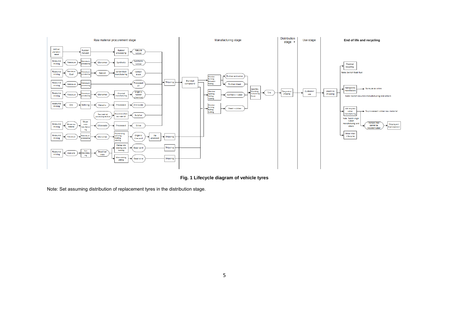

**Fig. 1 Lifecycle diagram of vehicle tyres** 

Note: Set assuming distribution of replacement tyres in the distribution stage.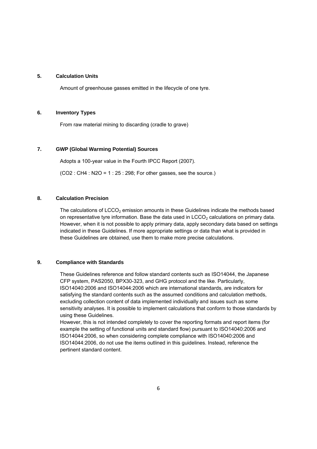#### **5. Calculation Units**

Amount of greenhouse gasses emitted in the lifecycle of one tyre.

#### **6. Inventory Types**

From raw material mining to discarding (cradle to grave)

#### **7. GWP (Global Warming Potential) Sources**

Adopts a 100-year value in the Fourth IPCC Report (2007).

 $(CO2 : CH4 : N2O = 1 : 25 : 298$ ; For other gasses, see the source.)

### **8. Calculation Precision**

The calculations of  $LCCO<sub>2</sub>$  emission amounts in these Guidelines indicate the methods based on representative tyre information. Base the data used in  $LCCO<sub>2</sub>$  calculations on primary data. However, when it is not possible to apply primary data, apply secondary data based on settings indicated in these Guidelines. If more appropriate settings or data than what is provided in these Guidelines are obtained, use them to make more precise calculations.

#### **9. Compliance with Standards**

These Guidelines reference and follow standard contents such as ISO14044, the Japanese CFP system, PAS2050, BPX30-323, and GHG protocol and the like. Particularly, ISO14040:2006 and ISO14044:2006 which are international standards, are indicators for satisfying the standard contents such as the assumed conditions and calculation methods, excluding collection content of data implemented individually and issues such as some sensitivity analyses. It is possible to implement calculations that conform to those standards by using these Guidelines.

However, this is not intended completely to cover the reporting formats and report items (for example the setting of functional units and standard flow) pursuant to ISO14040:2006 and ISO14044:2006, so when considering complete compliance with ISO14040:2006 and ISO14044:2006, do not use the items outlined in this guidelines. Instead, reference the pertinent standard content.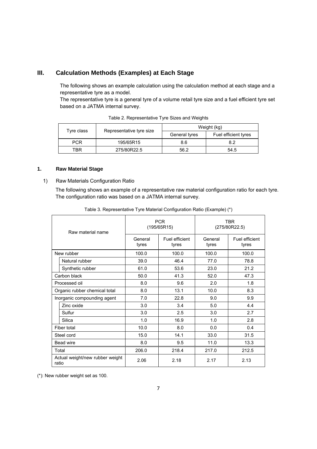# **III. Calculation Methods (Examples) at Each Stage**

The following shows an example calculation using the calculation method at each stage and a representative tyre as a model.

The representative tyre is a general tyre of a volume retail tyre size and a fuel efficient tyre set based on a JATMA internal survey.

| Tyre class | Representative tyre size | Weight (kg)   |                      |  |
|------------|--------------------------|---------------|----------------------|--|
|            |                          | General tyres | Fuel efficient tyres |  |
| <b>PCR</b> | 195/65R15                | 8.6           | 8.2                  |  |
| TBR        | 275/80R22.5              | 56.2          | 54.5                 |  |

Table 2. Representative Tyre Sizes and Weights

#### **1. Raw Material Stage**

1) Raw Materials Configuration Ratio

The following shows an example of a representative raw material configuration ratio for each tyre. The configuration ratio was based on a JATMA internal survey.

| Raw material name                        |                               | <b>PCR</b><br>(195/65R15) |                         | <b>TBR</b><br>(275/80R22.5) |                         |
|------------------------------------------|-------------------------------|---------------------------|-------------------------|-----------------------------|-------------------------|
|                                          |                               | General<br>tyres          | Fuel efficient<br>tyres | General<br>tyres            | Fuel efficient<br>tyres |
|                                          | New rubber                    | 100.0                     | 100.0                   | 100.0                       | 100.0                   |
|                                          | Natural rubber                | 39.0                      | 46.4                    | 77.0                        | 78.8                    |
|                                          | Synthetic rubber              | 61.0                      | 53.6                    | 23.0                        | 21.2                    |
|                                          | Carbon black                  | 50.0                      | 41.3                    | 52.0                        | 47.3                    |
| Processed oil                            |                               | 8.0                       | 9.6                     | 2.0                         | 1.8                     |
|                                          | Organic rubber chemical total | 8.0                       | 13.1                    | 10.0                        | 8.3                     |
|                                          | Inorganic compounding agent   | 7.0                       | 22.8                    | 9.0                         | 9.9                     |
|                                          | Zinc oxide                    | 3.0                       | 3.4                     | 5.0                         | 4.4                     |
|                                          | Sulfur                        | 3.0                       | 2.5                     | 3.0                         | 2.7                     |
|                                          | Silica                        | 1.0                       | 16.9                    | 1.0                         | 2.8                     |
|                                          | Fiber total                   | 10.0                      | 8.0                     | 0.0                         | 0.4                     |
| Steel cord                               |                               | 15.0                      | 14.1                    | 33.0                        | 31.5                    |
| Bead wire                                |                               | 8.0                       | 9.5                     | 11.0                        | 13.3                    |
| Total                                    |                               | 206.0                     | 218.4                   | 217.0                       | 212.5                   |
| Actual weight/new rubber weight<br>ratio |                               | 2.06                      | 2.18                    | 2.17                        | 2.13                    |

Table 3. Representative Tyre Material Configuration Ratio (Example) (\*)

(\*): New rubber weight set as 100.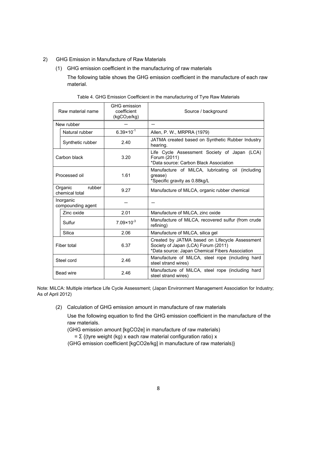- 2) GHG Emission in Manufacture of Raw Materials
	- (1) GHG emission coefficient in the manufacturing of raw materials

The following table shows the GHG emission coefficient in the manufacture of each raw material.

| Raw material name                   |                                | GHG emission<br>coefficient<br>$(kqCO_2e/kg)$ | Source / background                                                                                                                      |  |
|-------------------------------------|--------------------------------|-----------------------------------------------|------------------------------------------------------------------------------------------------------------------------------------------|--|
|                                     | New rubber                     |                                               |                                                                                                                                          |  |
|                                     | Natural rubber                 | $6.39 \times 10^{-1}$                         | Allen, P. W., MRPRA (1979)                                                                                                               |  |
|                                     | Synthetic rubber               | 2.40                                          | JATMA created based on Synthetic Rubber Industry<br>hearing.                                                                             |  |
|                                     | Carbon black                   | 3.20                                          | Life Cycle Assessment Society of Japan (LCA)<br>Forum (2011)<br>*Data source: Carbon Black Association                                   |  |
| Processed oil                       |                                | 1.61                                          | Manufacture of MiLCA, lubricating oil (including<br>qrease)<br>*Specific gravity as 0.88kg/L                                             |  |
| rubber<br>Organic<br>chemical total |                                | 9.27                                          | Manufacture of MiLCA, organic rubber chemical                                                                                            |  |
|                                     | Inorganic<br>compounding agent |                                               |                                                                                                                                          |  |
|                                     | Zinc oxide                     | 2.01                                          | Manufacture of MiLCA, zinc oxide                                                                                                         |  |
|                                     | Sulfur                         | $7.09 \times 10^{-3}$                         | Manufacture of MiLCA, recovered sulfur (from crude<br>refining)                                                                          |  |
|                                     | Silica                         | 2.06                                          | Manufacture of MiLCA, silica gel                                                                                                         |  |
| Fiber total                         |                                | 6.37                                          | Created by JATMA based on Lifecycle Assessment<br>Society of Japan (LCA) Forum (2011)<br>*Data source: Japan Chemical Fibers Association |  |
| Steel cord                          |                                | 2.46                                          | Manufacture of MiLCA, steel rope (including hard<br>steel strand wires)                                                                  |  |
| Bead wire                           |                                | 2.46                                          | Manufacture of MiLCA, steel rope (including hard<br>steel strand wires)                                                                  |  |

|  | Table 4. GHG Emission Coefficient in the manufacturing of Tyre Raw Materials |  |  |
|--|------------------------------------------------------------------------------|--|--|
|  |                                                                              |  |  |
|  |                                                                              |  |  |

Note: MiLCA: Multiple interface Life Cycle Assessment; (Japan Environment Management Association for Industry; As of April 2012)

(2) Calculation of GHG emission amount in manufacture of raw materials

Use the following equation to find the GHG emission coefficient in the manufacture of the raw materials.

(GHG emission amount [kgCO2e] in manufacture of raw materials)

=  $\Sigma$  {(tyre weight (kg) x each raw material configuration ratio) x

(GHG emission coefficient [kgCO2e/kg] in manufacture of raw materials)}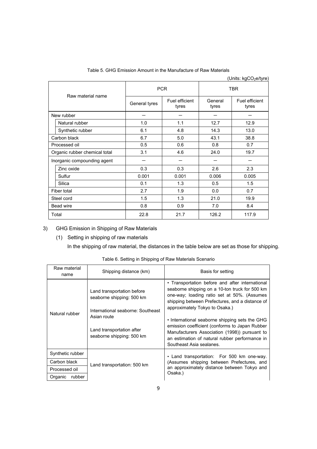Table 5. GHG Emission Amount in the Manufacture of Raw Materials

|                               |               |                         |                  | (Units: kgCO <sub>2</sub> e/tyre) |
|-------------------------------|---------------|-------------------------|------------------|-----------------------------------|
| Raw material name             | <b>PCR</b>    |                         | <b>TBR</b>       |                                   |
|                               | General tyres | Fuel efficient<br>tyres | General<br>tyres | Fuel efficient<br>tyres           |
| New rubber                    |               |                         |                  |                                   |
| Natural rubber                | 1.0           | 1.1                     | 12.7             | 12.9                              |
| Synthetic rubber              | 6.1           | 4.8                     | 14.3             | 13.0                              |
| Carbon black                  | 6.7           | 5.0                     | 43.1             | 38.8                              |
| Processed oil                 | 0.5           | 0.6                     | 0.8              | 0.7                               |
| Organic rubber chemical total | 3.1           | 4.6                     | 24.0             | 19.7                              |
| Inorganic compounding agent   |               |                         |                  |                                   |
| Zinc oxide                    | 0.3           | 0.3                     | 2.6              | 2.3                               |
| Sulfur                        | 0.001         | 0.001                   | 0.006            | 0.005                             |
| Silica                        | 0.1           | 1.3                     | 0.5              | 1.5                               |
| Fiber total                   | 2.7           | 1.9                     | 0.0              | 0.7                               |
| Steel cord                    | 1.5           | 1.3                     | 21.0             | 19.9                              |
| Bead wire                     | 0.8           | 0.9                     | 7.0              | 8.4                               |
| Total                         | 22.8          | 21.7                    | 126.2            | 117.9                             |

# 3) GHG Emission in Shipping of Raw Materials

(1) Setting in shipping of raw materials

In the shipping of raw material, the distances in the table below are set as those for shipping.

| Raw material<br>name | Shipping distance (km)                                                                                                                                                | Basis for setting                                                                                                                                                                                                                                                                                                                                                                                                                                                        |  |
|----------------------|-----------------------------------------------------------------------------------------------------------------------------------------------------------------------|--------------------------------------------------------------------------------------------------------------------------------------------------------------------------------------------------------------------------------------------------------------------------------------------------------------------------------------------------------------------------------------------------------------------------------------------------------------------------|--|
| Natural rubber       | Land transportation before<br>seaborne shipping: 500 km<br>International seaborne: Southeast<br>Asian route<br>Land transportation after<br>seaborne shipping: 500 km | • Transportation before and after international<br>seaborne shipping on a 10-ton truck for 500 km<br>one-way; loading ratio set at 50%. (Assumes<br>shipping between Prefectures, and a distance of<br>approximately Tokyo to Osaka.)<br>• International seaborne shipping sets the GHG<br>emission coefficient (conforms to Japan Rubber<br>Manufacturers Association (1998)) pursuant to<br>an estimation of natural rubber performance in<br>Southeast Asia sealanes. |  |
| Synthetic rubber     |                                                                                                                                                                       | • Land transportation: For 500 km one-way.                                                                                                                                                                                                                                                                                                                                                                                                                               |  |
| Carbon black         | Land transportation: 500 km                                                                                                                                           | (Assumes shipping between Prefectures, and                                                                                                                                                                                                                                                                                                                                                                                                                               |  |
| Processed oil        |                                                                                                                                                                       | an approximately distance between Tokyo and<br>Osaka.)                                                                                                                                                                                                                                                                                                                                                                                                                   |  |
| rubber<br>Organic    |                                                                                                                                                                       |                                                                                                                                                                                                                                                                                                                                                                                                                                                                          |  |

Table 6. Setting in Shipping of Raw Materials Scenario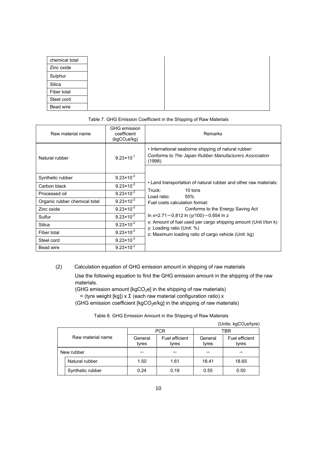| chemical total |
|----------------|
| Zinc oxide     |
| Sulphur        |
| Silica         |
| Fiber total    |
| Steel cord     |
| Bead wire      |

#### Table 7. GHG Emission Coefficient in the Shipping of Raw Materials

| Raw material name             | GHG emission<br>coefficient<br>(kgCO <sub>2</sub> e/kg) | Remarks                                                                                                                  |  |  |  |
|-------------------------------|---------------------------------------------------------|--------------------------------------------------------------------------------------------------------------------------|--|--|--|
| Natural rubber                | $9.23 \times 10^{-1}$                                   | . International seaborne shipping of natural rubber:<br>Conforms to The Japan Rubber Manufacturers Association<br>(1998) |  |  |  |
|                               |                                                         |                                                                                                                          |  |  |  |
| Synthetic rubber              | $9.23 \times 10^{-2}$                                   |                                                                                                                          |  |  |  |
| Carbon black                  | $9.23 \times 10^{-2}$                                   | . Land transportation of natural rubber and other raw materials:                                                         |  |  |  |
| Processed oil                 | $9.23 \times 10^{-2}$                                   | 10 tons<br>Truck:                                                                                                        |  |  |  |
| Organic rubber chemical total | $9.23 \times 10^{-2}$                                   | Load ratio:<br>50%<br>Fuel costs calculation format:                                                                     |  |  |  |
| Zinc oxide                    | $9.23 \times 10^{-2}$                                   | Conforms to the Energy Saving Act                                                                                        |  |  |  |
| Sulfur                        | $9.23 \times 10^{-2}$                                   | In x=2.71-0.812 In (y/100)-0.654 In z                                                                                    |  |  |  |
| Silica                        | $9.23 \times 10^{-2}$                                   | x: Amount of fuel used per cargo shipping amount (Unit I/ton k)                                                          |  |  |  |
| Fiber total                   | $9.23 \times 10^{-2}$                                   | y: Loading ratio (Unit: %)<br>z: Maximum loading ratio of cargo vehicle (Unit: kg)                                       |  |  |  |
| Steel cord                    | $9.23 \times 10^{-2}$                                   |                                                                                                                          |  |  |  |
| Bead wire                     | $9.23 \times 10^{-2}$                                   |                                                                                                                          |  |  |  |

(2) Calculation equation of GHG emission amount in shipping of raw materials

Use the following equation to find the GHG emission amount in the shipping of the raw materials.

(GHG emission amount [kgCO<sub>2</sub>e] in the shipping of raw materials)

= (tyre weight [kg])  $x \Sigma$  (each raw material configuration ratio) x

(GHG emission coefficient [kgCO<sub>2</sub>e/kg] in the shipping of raw materials)

| Table 8. GHG Emission Amount in the Shipping of Raw Materials |  |  |  |  |
|---------------------------------------------------------------|--|--|--|--|
|---------------------------------------------------------------|--|--|--|--|

|                   |                  |                  |                         |                  | (Units: $kgCO2e/tyre$ ) |
|-------------------|------------------|------------------|-------------------------|------------------|-------------------------|
| Raw material name |                  |                  | <b>PCR</b>              | TBR              |                         |
|                   |                  | General<br>tyres | Fuel efficient<br>tyres | General<br>tyres | Fuel efficient<br>tyres |
| New rubber        |                  |                  |                         |                  |                         |
|                   | Natural rubber   | 1.50             | 1.61                    | 18.41            | 18.65                   |
|                   | Synthetic rubber | 0.24             | 0.19                    | 0.55             | 0.50                    |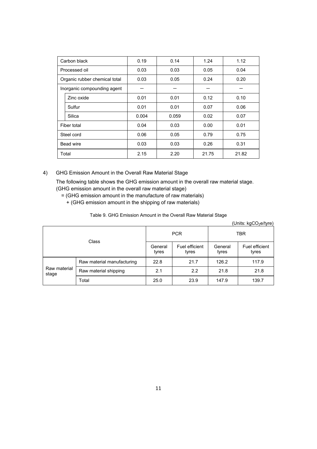| Carbon black                  |                             | 0.19  | 0.14  | 1.24  | 1.12  |
|-------------------------------|-----------------------------|-------|-------|-------|-------|
|                               | Processed oil               | 0.03  | 0.03  | 0.05  | 0.04  |
| Organic rubber chemical total |                             | 0.03  | 0.05  | 0.24  | 0.20  |
|                               | Inorganic compounding agent |       |       |       |       |
|                               | Zinc oxide                  | 0.01  | 0.01  | 0.12  | 0.10  |
|                               | Sulfur                      | 0.01  | 0.01  | 0.07  | 0.06  |
|                               | Silica                      | 0.004 | 0.059 | 0.02  | 0.07  |
| Fiber total                   |                             | 0.04  | 0.03  | 0.00  | 0.01  |
|                               | Steel cord                  | 0.06  | 0.05  | 0.79  | 0.75  |
| Bead wire                     |                             | 0.03  | 0.03  | 0.26  | 0.31  |
| Total                         |                             | 2.15  | 2.20  | 21.75 | 21.82 |

4) GHG Emission Amount in the Overall Raw Material Stage

The following table shows the GHG emission amount in the overall raw material stage. (GHG emission amount in the overall raw material stage)

- = (GHG emission amount in the manufacture of raw materials)
	- + (GHG emission amount in the shipping of raw materials)

Table 9. GHG Emission Amount in the Overall Raw Material Stage

| (Units: kgCO <sub>2</sub> e/tyre) |
|-----------------------------------|
|                                   |

| Class                 |                            | <b>PCR</b>       |                         | <b>TBR</b>       |                         |
|-----------------------|----------------------------|------------------|-------------------------|------------------|-------------------------|
|                       |                            | General<br>tyres | Fuel efficient<br>tyres | General<br>tyres | Fuel efficient<br>tyres |
|                       | Raw material manufacturing | 22.8             | 21.7                    | 126.2            | 117.9                   |
| Raw material<br>stage | Raw material shipping      | 2.1              | 2.2                     | 21.8             | 21.8                    |
|                       | Total                      | 25.0             | 23.9                    | 147.9            | 139.7                   |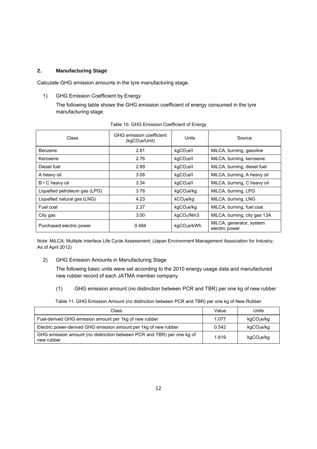#### **2. Manufacturing Stage**

Calculate GHG emission amounts in the tyre manufacturing stage.

1) GHG Emission Coefficient by Energy

The following table shows the GHG emission coefficient of energy consumed in the tyre manufacturing stage.

| Class                         | GHG emission coefficient<br>(kqCO <sub>2</sub> e/Unit) | Units                   | Source                                     |
|-------------------------------|--------------------------------------------------------|-------------------------|--------------------------------------------|
| Benzene                       | 2.81                                                   | kgCO <sub>2</sub> e/l   | MiLCA, burning, gasoline                   |
| Kerosene                      | 2.76                                                   | kqCO <sub>2</sub> e/l   | MiLCA, burning, kerosene                   |
| Diesel fuel                   | 2.89                                                   | kqCO <sub>2</sub> e/l   | MiLCA, burning, diesel fuel                |
| A heavy oil                   | 3.08                                                   | kqCO <sub>2</sub> el    | MiLCA, burning, A heavy oil                |
| B • C heavy oil               | 3.34                                                   | kqCO <sub>2</sub> e/l   | MiLCA, burning, C heavy oil                |
| Liquefied petroleum gas (LPG) | 3.78                                                   | kgCO <sub>2</sub> e/kg  | MiLCA, burning, LPG                        |
| Liquefied natural gas (LNG)   | 4.23                                                   | kCO <sub>2</sub> e/kq   | MiLCA, burning, LNG                        |
| Fuel coal                     | 2.37                                                   | kgCO <sub>2</sub> e/kg  | MiLCA, burning, fuel coal                  |
| City gas                      | 3.00                                                   | kgCO <sub>2</sub> /Nm3  | MiLCA, burning, city gas 13A               |
| Purchased electric power      | 0.484                                                  | kgCO <sub>2</sub> e/kWh | MiLCA, generator, system<br>electric power |

Table 10. GHG Emission Coefficient of Energy

Note: MiLCA: Multiple interface Life Cycle Assessment; (Japan Environment Management Association for Industry; As of April 2012)

2) GHG Emission Amounts in Manufacturing Stage

The following basic units were set according to the 2010 energy usage data and manufactured new rubber record of each JATMA member company.

(1) GHG emission amount (no distinction between PCR and TBR) per one kg of new rubber

Table 11. GHG Emission Amount (no distinction between PCR and TBR) per one kg of New Rubber

| Class                                                                                | Value | Units                  |
|--------------------------------------------------------------------------------------|-------|------------------------|
| Fuel-derived GHG emission amount per 1kg of new rubber                               | 1.077 | kgCO <sub>2</sub> e/kg |
| Electric power-derived GHG emission amount per 1kg of new rubber                     | 0.542 | kgCO <sub>2</sub> e/kg |
| GHG emission amount (no distinction between PCR and TBR) per one kg of<br>new rubber | 1.619 | kgCO <sub>2</sub> e/kg |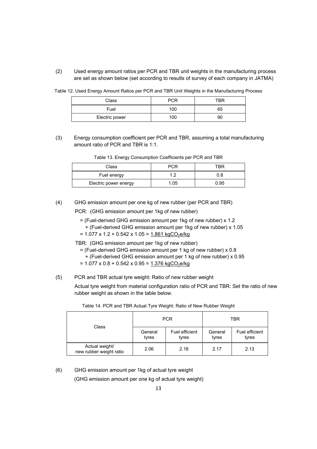(2) Used energy amount ratios per PCR and TBR unit weights in the manufacturing process are set as shown below (set according to results of survey of each company in JATMA)

Table 12. Used Energy Amount Ratios per PCR and TBR Unit Weights in the Manufacturing Process

| Class          | PCR | TBR |
|----------------|-----|-----|
| Fuel           | 100 | 65  |
| Electric power | 100 | 90  |

(3) Energy consumption coefficient per PCR and TBR, assuming a total manufacturing amount ratio of PCR and TBR is 1:1.

| Class                 | PCR  | TBR  |
|-----------------------|------|------|
| Fuel energy           |      | 0.8  |
| Electric power energy | 1.05 | 0.95 |

(4) GHG emission amount per one kg of new rubber (per PCR and TBR)

PCR: (GHG emission amount per 1kg of new rubber)

- = (Fuel-derived GHG emission amount per 1kg of new rubber) x 1.2
	- + (Fuel-derived GHG emission amount per 1kg of new rubber) x 1.05
- $= 1.077 \times 1.2 + 0.542 \times 1.05 = 1.861 \text{ kgCO}_2\text{e/kg}$

TBR: (GHG emission amount per 1kg of new rubber)

- $=$  (Fuel-derived GHG emission amount per 1 kg of new rubber) x 0.8
	- + (Fuel-derived GHG emission amount per 1 kg of new rubber) x 0.95
- $= 1.077 \times 0.8 + 0.542 \times 0.95 = 1.376 \text{ kgCO}_2\text{e/kg}$
- (5) PCR and TBR actual tyre weight: Ratio of new rubber weight

Actual tyre weight from material configuration ratio of PCR and TBR: Set the ratio of new rubber weight as shown in the table below.

| Class                                     |                  | <b>PCR</b>              | TBR              |                         |  |
|-------------------------------------------|------------------|-------------------------|------------------|-------------------------|--|
|                                           | General<br>tyres | Fuel efficient<br>tyres | General<br>tyres | Fuel efficient<br>tyres |  |
| Actual weight/<br>new rubber weight ratio | 2.06             | 2.18                    | 2.17             | 2.13                    |  |

Table 14. PCR and TBR Actual Tyre Weight: Ratio of New Rubber Weight

(6) GHG emission amount per 1kg of actual tyre weight

(GHG emission amount per one kg of actual tyre weight)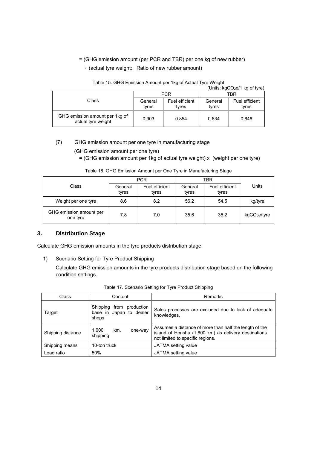# = (GHG emission amount (per PCR and TBR) per one kg of new rubber) ÷ (actual tyre weight: Ratio of new rubber amount)

|                                                      |                  |                         |                  | (Units: kgCO <sub>2</sub> e/1 kg of tyre) |  |
|------------------------------------------------------|------------------|-------------------------|------------------|-------------------------------------------|--|
|                                                      |                  | <b>PCR</b>              | TBR              |                                           |  |
| Class                                                | General<br>tyres | Fuel efficient<br>tvres | General<br>tvres | Fuel efficient<br>tvres                   |  |
| GHG emission amount per 1kg of<br>actual tyre weight | 0.903            | 0.854                   | 0.634            | 0.646                                     |  |

#### Table 15. GHG Emission Amount per 1kg of Actual Tyre Weight

#### (7) GHG emission amount per one tyre in manufacturing stage

(GHG emission amount per one tyre)

 $=$  (GHG emission amount per 1kg of actual tyre weight) x (weight per one tyre)

| Table 16. GHG Emission Amount per One Tyre in Manufacturing Stage |  |
|-------------------------------------------------------------------|--|

|                                     | <b>PCR</b>       |                         | TBR              |                         |                          |
|-------------------------------------|------------------|-------------------------|------------------|-------------------------|--------------------------|
| Class                               | General<br>tyres | Fuel efficient<br>tyres | General<br>tvres | Fuel efficient<br>tyres | Units                    |
| Weight per one tyre                 | 8.6              | 8.2                     | 56.2             | 54.5                    | kg/tyre                  |
| GHG emission amount per<br>one tyre | 7.8              | 7.0                     | 35.6             | 35.2                    | kgCO <sub>2</sub> e/tyre |

# **3. Distribution Stage**

Calculate GHG emission amounts in the tyre products distribution stage.

1) Scenario Setting for Tyre Product Shipping

Calculate GHG emission amounts in the tyre products distribution stage based on the following condition settings.

| Class             | Content                                                      | <b>Remarks</b>                                                                                                                                     |  |  |
|-------------------|--------------------------------------------------------------|----------------------------------------------------------------------------------------------------------------------------------------------------|--|--|
| Target            | Shipping from production<br>base in Japan to dealer<br>shops | Sales processes are excluded due to lack of adequate<br>knowledges.                                                                                |  |  |
| Shipping distance | 1.000<br>km.<br>one-way<br>shipping                          | Assumes a distance of more than half the length of the<br>island of Honshu (1,600 km) as delivery destinations<br>not limited to specific regions. |  |  |
| Shipping means    | 10-ton truck                                                 | JATMA setting value                                                                                                                                |  |  |
| Load ratio        | 50%                                                          | JATMA setting value                                                                                                                                |  |  |

|  |  |  | Table 17. Scenario Setting for Tyre Product Shipping |  |
|--|--|--|------------------------------------------------------|--|
|--|--|--|------------------------------------------------------|--|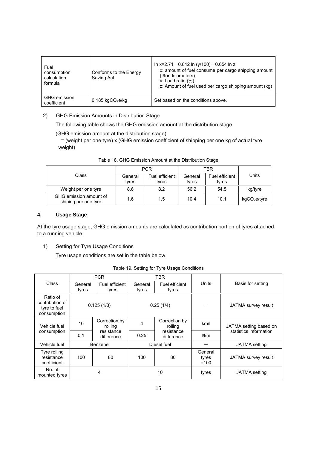| Fuel<br>consumption<br>calculation<br>formula | Conforms to the Energy<br>Saving Act | In x=2.71-0.812 In (y/100)-0.654 In z<br>x: amount of fuel consume per cargo shipping amount<br>(I/ton-kilometers)<br>$v:$ Load ratio $(\%)$<br>z: Amount of fuel used per cargo shipping amount (kg) |
|-----------------------------------------------|--------------------------------------|-------------------------------------------------------------------------------------------------------------------------------------------------------------------------------------------------------|
| <b>GHG</b> emission<br>coefficient            | $0.185$ kgCO <sub>2</sub> e/kg       | Set based on the conditions above.                                                                                                                                                                    |

### 2) GHG Emission Amounts in Distribution Stage

The following table shows the GHG emission amount at the distribution stage.

(GHG emission amount at the distribution stage)

= (weight per one tyre) x (GHG emission coefficient of shipping per one kg of actual tyre weight)

|                                                | <b>PCR</b>       |                         | TBR              |                         |                          |
|------------------------------------------------|------------------|-------------------------|------------------|-------------------------|--------------------------|
| Class                                          | General<br>tvres | Fuel efficient<br>tvres | General<br>tyres | Fuel efficient<br>tyres | Units                    |
| Weight per one tyre                            | 8.6              | 8.2                     | 56.2             | 54.5                    | kg/tyre                  |
| GHG emission amount of<br>shiping per one tyre | 1.6              | 1.5                     | 10.4             | 10.1                    | kgCO <sub>2</sub> e/tyre |

Table 18. GHG Emission Amount at the Distribution Stage

#### **4. Usage Stage**

At the tyre usage stage, GHG emission amounts are calculated as contribution portion of tyres attached to a running vehicle.

1) Setting for Tyre Usage Conditions

Tyre usage conditions are set in the table below.

|  |  |  |  | Table 19. Setting for Tyre Usage Conditions |
|--|--|--|--|---------------------------------------------|
|--|--|--|--|---------------------------------------------|

|                                                            |                  | <b>PCR</b>               |                  | TBR                      |                            |                        |
|------------------------------------------------------------|------------------|--------------------------|------------------|--------------------------|----------------------------|------------------------|
| <b>Class</b>                                               | General<br>tyres | Fuel efficient<br>tyres  | General<br>tyres | Fuel efficient<br>tyres  | Units                      | Basis for setting      |
| Ratio of<br>contribution of<br>tyre to fuel<br>consumption |                  | 0.125(1/8)               |                  | 0.25(1/4)                |                            | JATMA survey result    |
| Vehicle fuel                                               | 10               | Correction by<br>rolling | 4                | Correction by<br>rolling | km/1                       | JATMA setting based on |
| consumption                                                | 0.1              | resistance<br>difference | 0.25             | resistance<br>difference | I/km                       | statistics information |
| Vehicle fuel                                               | Benzene          |                          |                  | Diesel fuel              |                            | JATMA setting          |
| Tyre rolling<br>resistance<br>coefficient                  | 100              | 80                       | 100              | 80                       | General<br>tyres<br>$=100$ | JATMA survey result    |
| No. of<br>mounted tyres                                    |                  | 4                        |                  | 10                       | tyres                      | JATMA setting          |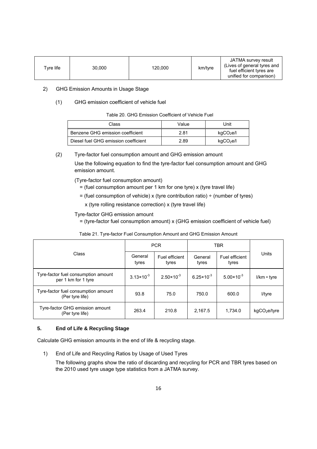| Tvre life<br>30.000<br>120,000 | km/tyre | JATMA survey result<br>(Lives of general tyres and<br>fuel efficient tyres are<br>unified for comparison) |
|--------------------------------|---------|-----------------------------------------------------------------------------------------------------------|
|--------------------------------|---------|-----------------------------------------------------------------------------------------------------------|

#### 2) GHG Emission Amounts in Usage Stage

#### (1) GHG emission coefficient of vehicle fuel

|  | Table 20. GHG Emission Coefficient of Vehicle Fuel |  |  |
|--|----------------------------------------------------|--|--|
|  |                                                    |  |  |

| Class                                | Value | Unit                  |
|--------------------------------------|-------|-----------------------|
| Benzene GHG emission coefficient     | 2.81  | kgCO <sub>2</sub> e/l |
| Diesel fuel GHG emission coefficient | 2.89  | kgCO <sub>2</sub> e/l |

#### (2) Tyre-factor fuel consumption amount and GHG emission amount

Use the following equation to find the tyre-factor fuel consumption amount and GHG emission amount.

(Tyre-factor fuel consumption amount)

- = (fuel consumption amount per 1 km for one tyre) x (tyre travel life)
- $=$  (fuel consumption of vehicle) x (tyre contribution ratio)  $\div$  (number of tyres)
- x (tyre rolling resistance correction) x (tyre travel life)

#### Tyre-factor GHG emission amount

= (tyre-factor fuel consumption amount) x (GHG emission coefficient of vehicle fuel)

|                                                            | <b>PCR</b>            |                         | <b>TBR</b>            |                         |                          |
|------------------------------------------------------------|-----------------------|-------------------------|-----------------------|-------------------------|--------------------------|
| Class                                                      | General<br>tyres      | Fuel efficient<br>tyres | General<br>tyres      | Fuel efficient<br>tyres | Units                    |
| Tyre-factor fuel consumption amount<br>per 1 km for 1 tyre | $3.13 \times 10^{-3}$ | $2.50 \times 10^{-3}$   | $6.25 \times 10^{-3}$ | $5.00 \times 10^{-3}$   | $I/km \cdot \text{tyre}$ |
| Tyre-factor fuel consumption amount<br>(Per tyre life)     | 93.8                  | 75.0                    | 750.0                 | 600.0                   | l/tyre                   |
| Tyre-factor GHG emission amount<br>(Per tyre life)         | 263.4                 | 210.8                   | 2,167.5               | 1,734.0                 | kgCO <sub>2</sub> e/type |

#### Table 21. Tyre-factor Fuel Consumption Amount and GHG Emission Amount

#### **5. End of Life & Recycling Stage**

Calculate GHG emission amounts in the end of life & recycling stage.

1) End of Life and Recycling Ratios by Usage of Used Tyres

The following graphs show the ratio of discarding and recycling for PCR and TBR tyres based on the 2010 used tyre usage type statistics from a JATMA survey.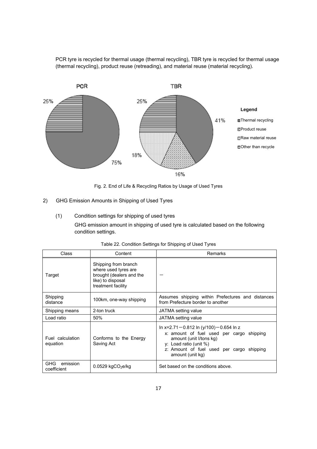PCR tyre is recycled for thermal usage (thermal recycling), TBR tyre is recycled for thermal usage (thermal recycling), product reuse (retreading), and material reuse (material recycling).



Fig. 2. End of Life & Recycling Ratios by Usage of Used Tyres

- 2) GHG Emission Amounts in Shipping of Used Tyres
	- (1) Condition settings for shipping of used tyres

GHG emission amount in shipping of used tyre is calculated based on the following condition settings.

| Class                                 | Content                                                                                                             | Remarks                                                                                                                                                                                                            |
|---------------------------------------|---------------------------------------------------------------------------------------------------------------------|--------------------------------------------------------------------------------------------------------------------------------------------------------------------------------------------------------------------|
| Target                                | Shipping from branch<br>where used tyres are<br>brought (dealers and the<br>like) to disposal<br>treatment facility |                                                                                                                                                                                                                    |
| Shipping<br>distance                  | 100km, one-way shipping                                                                                             | Assumes shipping within Prefectures and distances<br>from Prefecture border to another                                                                                                                             |
| Shipping means                        | 2-ton truck                                                                                                         | JATMA setting value                                                                                                                                                                                                |
| Load ratio                            | 50%                                                                                                                 | JATMA setting value                                                                                                                                                                                                |
| Fuel calculation<br>equation          | Conforms to the Energy<br>Saving Act                                                                                | In x=2.71 $-0.812$ In (y/100) $-0.654$ In z<br>x: amount of fuel used per cargo shipping<br>amount (unit I/tons kg)<br>y: Load ratio (unit $\%$ )<br>z: Amount of fuel used per cargo shipping<br>amount (unit kg) |
| <b>GHG</b><br>emission<br>coefficient | $0.0529$ kgCO <sub>2</sub> e/kg                                                                                     | Set based on the conditions above.                                                                                                                                                                                 |

| Table 22. Condition Settings for Shipping of Used Tyres |  |  |  |
|---------------------------------------------------------|--|--|--|
|                                                         |  |  |  |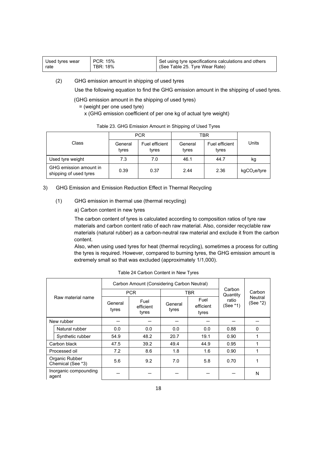| Used tyres wear | PCR: 15% | Set using tyre specifications calculations and others |
|-----------------|----------|-------------------------------------------------------|
| rate            | TBR: 18% | (See Table 25. Tyre Wear Rate)                        |
|                 |          |                                                       |

(2) GHG emission amount in shipping of used tyres

Use the following equation to find the GHG emission amount in the shipping of used tyres.

(GHG emission amount in the shipping of used tyres)

- = (weight per one used tyre)
	- x (GHG emission coefficient of per one kg of actual tyre weight)

|                                                  | <b>PCR</b>       |                         | TBR              |                         |                          |  |
|--------------------------------------------------|------------------|-------------------------|------------------|-------------------------|--------------------------|--|
| Class                                            | General<br>tyres | Fuel efficient<br>tyres | General<br>tyres | Fuel efficient<br>tyres | Units                    |  |
| Used tyre weight                                 | 7.3              | 7.0                     | 46.1             | 44.7                    | κg                       |  |
| GHG emission amount in<br>shipping of used tyres | 0.39             | 0.37                    | 2.44             | 2.36                    | kgCO <sub>2</sub> e/tyre |  |

#### Table 23. GHG Emission Amount in Shipping of Used Tyres

#### 3) GHG Emission and Emission Reduction Effect in Thermal Recycling

- (1) GHG emission in thermal use (thermal recycling)
	- a) Carbon content in new tyres

The carbon content of tyres is calculated according to composition ratios of tyre raw materials and carbon content ratio of each raw material. Also, consider recyclable raw materials (natural rubber) as a carbon-neutral raw material and exclude it from the carbon content.

Also, when using used tyres for heat (thermal recycling), sometimes a process for cutting the tyres is required. However, compared to burning tyres, the GHG emission amount is extremely small so that was excluded (approximately 1/1,000).

|            |                                     |                                                | Carbon Amount (Considering Carbon Neutral) |                  |                            |                    |                               |
|------------|-------------------------------------|------------------------------------------------|--------------------------------------------|------------------|----------------------------|--------------------|-------------------------------|
|            |                                     |                                                | <b>PCR</b>                                 |                  | <b>TBR</b>                 | Carbon<br>Quantity | Carbon<br>Neutral<br>(See *2) |
|            | Raw material name                   | Fuel<br>General<br>efficient<br>tyres<br>tyres |                                            | General<br>tyres | Fuel<br>efficient<br>tyres | ratio<br>(See *1)  |                               |
| New rubber |                                     |                                                |                                            |                  |                            |                    |                               |
|            | Natural rubber                      | 0.0                                            | 0.0                                        | 0.0              | 0.0                        | 0.88               | 0                             |
|            | Synthetic rubber                    | 54.9                                           | 48.2                                       | 20.7             | 19.1                       | 0.90               |                               |
|            | Carbon black                        | 47.5                                           | 39.2                                       | 49.4             | 44.9                       | 0.95               |                               |
|            | Processed oil                       | 7.2                                            | 8.6                                        | 1.8              | 1.6                        | 0.90               |                               |
|            | Organic Rubber<br>Chemical (See *3) | 5.6                                            | 9.2                                        | 7.0              | 5.8                        | 0.70               | 1                             |
|            | Inorganic compounding<br>agent      |                                                |                                            |                  |                            |                    | N                             |

|  | Table 24 Carbon Content in New Tyres |  |  |
|--|--------------------------------------|--|--|
|  |                                      |  |  |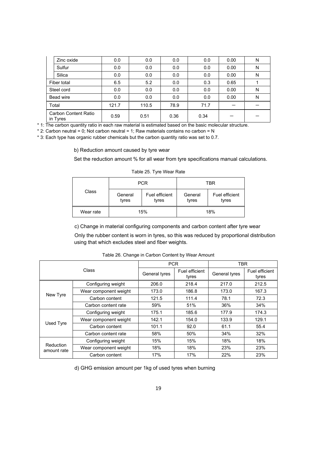| Zinc oxide                       | 0.0   | 0.0   | 0.0  | 0.0  | 0.00 | N |
|----------------------------------|-------|-------|------|------|------|---|
| Sulfur                           | 0.0   | 0.0   | 0.0  | 0.0  | 0.00 | N |
| Silica                           | 0.0   | 0.0   | 0.0  | 0.0  | 0.00 | N |
| Fiber total                      | 6.5   | 5.2   | 0.0  | 0.3  | 0.65 |   |
| Steel cord                       | 0.0   | 0.0   | 0.0  | 0.0  | 0.00 | N |
| Bead wire                        | 0.0   | 0.0   | 0.0  | 0.0  | 0.00 | N |
| Total                            | 121.7 | 110.5 | 78.9 | 71.7 |      |   |
| Carbon Content Ratio<br>in Tyres | 0.59  | 0.51  | 0.36 | 0.34 |      |   |

\* 1: The carbon quantity ratio in each raw material is estimated based on the basic molecular structure.

 $*$  2: Carbon neutral = 0; Not carbon neutral = 1; Raw materials contains no carbon = N

\* 3: Each type has organic rubber chemicals but the carbon quantity ratio was set to 0.7.

b) Reduction amount caused by tyre wear

Set the reduction amount % for all wear from tyre specifications manual calculations.

| Table 25. Tyre Wear Rate |  |
|--------------------------|--|
|--------------------------|--|

| Class     |                  | <b>PCR</b>              | TBR              |                         |  |
|-----------|------------------|-------------------------|------------------|-------------------------|--|
|           | General<br>tyres | Fuel efficient<br>tyres | General<br>tyres | Fuel efficient<br>tyres |  |
| Wear rate | 15%              |                         | 18%              |                         |  |

c) Change in material configuring components and carbon content after tyre wear

Only the rubber content is worn in tyres, so this was reduced by proportional distribution using that which excludes steel and fiber weights.

| Class                    |                       | <b>PCR</b>    |                         | <b>TBR</b>    |                         |  |
|--------------------------|-----------------------|---------------|-------------------------|---------------|-------------------------|--|
|                          |                       | General tyres | Fuel efficient<br>tyres | General tyres | Fuel efficient<br>tyres |  |
|                          | Configuring weight    | 206.0         | 218.4                   | 217.0         | 212.5                   |  |
|                          | Wear component weight | 173.0         | 186.8                   | 173.0         | 167.3                   |  |
| New Tyre                 | Carbon content        | 121.5         | 111.4                   | 78.1          | 72.3                    |  |
|                          | Carbon content rate   | 59%           | 51%                     | 36%           | 34%                     |  |
|                          | Configuring weight    | 175.1         | 185.6                   | 177.9         | 174.3                   |  |
| Used Tyre                | Wear component weight | 142.1         | 154.0                   | 133.9         | 129.1                   |  |
|                          | Carbon content        | 101.1         | 92.0                    | 61.1          | 55.4                    |  |
|                          | Carbon content rate   | 58%           | 50%                     | 34%           | 32%                     |  |
| Reduction<br>amount rate | Configuring weight    | 15%           | 15%                     | 18%           | 18%                     |  |
|                          | Wear component weight | 18%           | 18%                     | 23%           | 23%                     |  |
|                          | Carbon content        | 17%           | 17%                     | 22%           | 23%                     |  |

Table 26. Change in Carbon Content by Wear Amount

d) GHG emission amount per 1kg of used tyres when burning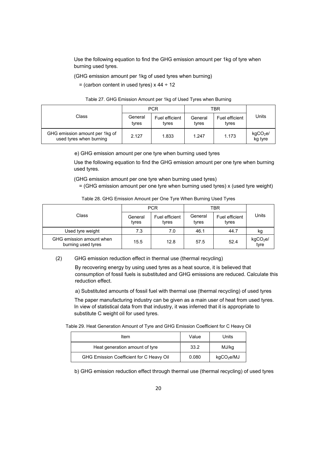Use the following equation to find the GHG emission amount per 1kg of tyre when burning used tyres.

(GHG emission amount per 1kg of used tyres when burning)

 $=$  (carbon content in used tyres) x 44  $\div$  12

| Table 27. GHG Emission Amount per 1kg of Used Tyres when Burning |  |  |  |
|------------------------------------------------------------------|--|--|--|
|------------------------------------------------------------------|--|--|--|

|                                                           | <b>PCR</b>       |                         | TBR              |                         |                                 |
|-----------------------------------------------------------|------------------|-------------------------|------------------|-------------------------|---------------------------------|
| Class                                                     | General<br>tyres | Fuel efficient<br>tyres | General<br>tyres | Fuel efficient<br>tyres | Units                           |
| GHG emission amount per 1kg of<br>used tyres when burning | 2.127            | 1.833                   | 1.247            | 1.173                   | kgCO <sub>2</sub> e/<br>kg tyre |

e) GHG emission amount per one tyre when burning used tyres

Use the following equation to find the GHG emission amount per one tyre when burning used tyres.

(GHG emission amount per one tyre when burning used tyres)

= (GHG emission amount per one tyre when burning used tyres) x (used tyre weight)

| $1.00010$ motors and all $0.000111$ and $0.00111$ and $0.00111$ and $0.00111$ and $0.000111$ and $0.00111$ |                  |                         |                  |                         |       |
|------------------------------------------------------------------------------------------------------------|------------------|-------------------------|------------------|-------------------------|-------|
|                                                                                                            |                  | <b>PCR</b>              |                  | TBR                     |       |
| Class                                                                                                      | General<br>tyres | Fuel efficient<br>tvres | General<br>tyres | Fuel efficient<br>tyres | Units |

Table 28. GHG Emission Amount per One Tyre When Burning Used Tyres

Used tyre weight 7.3 7.0 46.1 44.7 kg

GHG emission amount when  $\begin{vmatrix} 15.5 \\ 17.8 \end{vmatrix}$  12.8  $\begin{vmatrix} 57.5 \\ 52.4 \end{vmatrix}$  kgCO<sub>2</sub>e/

| GHG emission reduction effect in thermal use (thermal recycling) |  |
|------------------------------------------------------------------|--|

By recovering energy by using used tyres as a heat source, it is believed that consumption of fossil fuels is substituted and GHG emissions are reduced. Calculate this reduction effect.

tyre

a) Substituted amounts of fossil fuel with thermal use (thermal recycling) of used tyres

The paper manufacturing industry can be given as a main user of heat from used tyres. In view of statistical data from that industry, it was inferred that it is appropriate to substitute C weight oil for used tyres.

Table 29. Heat Generation Amount of Tyre and GHG Emission Coefficient for C Heavy Oil

| Item                                     | Value | Units                  |
|------------------------------------------|-------|------------------------|
| Heat generation amount of tyre           | 33.2  | MJ/kg                  |
| GHG Emission Coefficient for C Heavy Oil | 0.080 | kgCO <sub>2</sub> e/MJ |

b) GHG emission reduction effect through thermal use (thermal recycling) of used tyres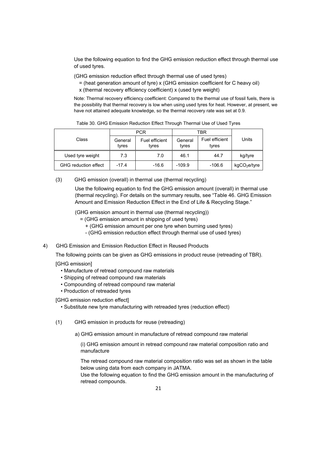Use the following equation to find the GHG emission reduction effect through thermal use of used tyres.

(GHG emission reduction effect through thermal use of used tyres)

- = (heat generation amount of tyre) x (GHG emission coefficient for C heavy oil)
- x (thermal recovery efficiency coefficient) x (used tyre weight)

Note: Thermal recovery efficiency coefficient: Compared to the thermal use of fossil fuels, there is the possibility that thermal recovery is low when using used tyres for heat. However, at present, we have not attained adequate knowledge, so the thermal recovery rate was set at 0.9.

|                             | <b>PCR</b>       |                         | TBR              |                         |                          |
|-----------------------------|------------------|-------------------------|------------------|-------------------------|--------------------------|
| Class                       | General<br>tvres | Fuel efficient<br>tyres | General<br>tyres | Fuel efficient<br>tyres | Units                    |
| Used tyre weight            | 7.3              | 7.0                     | 46.1             | 44.7                    | kg/tyre                  |
| <b>GHG</b> reduction effect | $-17.4$          | $-16.6$                 | $-109.9$         | $-106.6$                | kgCO <sub>2</sub> e/tyre |

Table 30. GHG Emission Reduction Effect Through Thermal Use of Used Tyres

(3) GHG emission (overall) in thermal use (thermal recycling)

Use the following equation to find the GHG emission amount (overall) in thermal use (thermal recycling). For details on the summary results, see "Table 46. GHG Emission Amount and Emission Reduction Effect in the End of Life & Recycling Stage."

(GHG emission amount in thermal use (thermal recycling))

- = (GHG emission amount in shipping of used tyres)
	- + (GHG emission amount per one tyre when burning used tyres)
	- (GHG emission reduction effect through thermal use of used tyres)

#### 4) GHG Emission and Emission Reduction Effect in Reused Products

The following points can be given as GHG emissions in product reuse (retreading of TBR).

[GHG emission]

- Manufacture of retread compound raw materials
- Shipping of retread compound raw materials
- Compounding of retread compound raw material
- Production of retreaded tyres

[GHG emission reduction effect]

- Substitute new tyre manufacturing with retreaded tyres (reduction effect)
- (1) GHG emission in products for reuse (retreading)
	- a) GHG emission amount in manufacture of retread compound raw material

(i) GHG emission amount in retread compound raw material composition ratio and manufacture

The retread compound raw material composition ratio was set as shown in the table below using data from each company in JATMA.

Use the following equation to find the GHG emission amount in the manufacturing of retread compounds.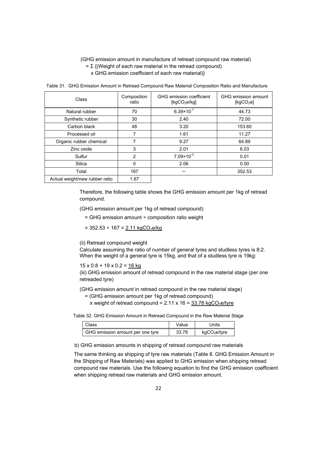#### (GHG emission amount in manufacture of retread compound raw material)  $= \Sigma$  {(Weight of each raw material in the retread compound) x GHG emission coefficient of each raw material)}

Table 31. GHG Emission Amount in Retread Compound Raw Material Composition Ratio and Manufacture

| Class                          | Composition<br>ratio | GHG emission coefficient<br>[kqCO <sub>2</sub> e/kq] | GHG emission amount<br>[kgCO <sub>2</sub> e] |
|--------------------------------|----------------------|------------------------------------------------------|----------------------------------------------|
| Natural rubber                 | 70                   | $6.39 \times 10^{-1}$                                | 44.73                                        |
| Synthetic rubber               | 30                   | 2.40                                                 | 72.00                                        |
| Carbon black                   | 48                   | 3.20                                                 | 153.60                                       |
| Processed oil                  | 7                    | 1.61                                                 | 11.27                                        |
| Organic rubber chemical        | 7                    | 9.27                                                 | 64.89                                        |
| Zinc oxide                     | 3                    | 2.01                                                 | 6.03                                         |
| Sulfur                         | 2                    | $7.09 \times 10^{-3}$                                | 0.01                                         |
| Silica                         | $\Omega$             | 2.06                                                 | 0.00                                         |
| Total                          | 167                  |                                                      | 352.53                                       |
| Actual weight/new rubber ratio | 1.67                 |                                                      |                                              |

Therefore, the following table shows the GHG emission amount per 1kg of retread compound.

(GHG emission amount per 1kg of retread compound)

 $=$  GHG emission amount  $\div$  composition ratio weight

 $= 352.53 \div 167 = 2.11 \text{ kgCO}_2 \text{e/kg}$ 

(ii) Retread compound weight

Calculate assuming the ratio of number of general tyres and studless tyres is 8:2. When the weight of a general tyre is 15kg, and that of a studless tyre is 19kg:

 $15 \times 0.8 + 19 \times 0.2 = 16$  kg

(iii) GHG emission amount of retread compound in the raw material stage (per one retreaded tyre)

(GHG emission amount in retread compound in the raw material stage)

= (GHG emission amount per 1kg of retread compound)

x weight of retread compound =  $2.11 \times 16 = 33.78 \text{ kgCO}_2$ e/tyre

Table 32. GHG Emission Amount in Retread Compound in the Raw Material Stage

| Class                            | Value | Units                    |
|----------------------------------|-------|--------------------------|
| GHG emission amount per one tyre | 33.78 | kgCO <sub>2</sub> e/tyre |

b) GHG emission amounts in shipping of retread compound raw materials

The same thinking as shipping of tyre raw materials (Table 8. GHG Emission Amount in the Shipping of Raw Materials) was applied to GHG emission when shipping retread compound raw materials. Use the following equation to find the GHG emission coefficient when shipping retread raw materials and GHG emission amount.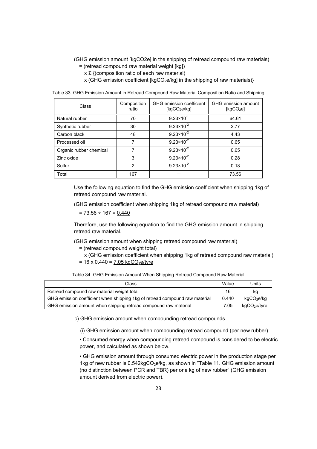- (GHG emission amount [kgCO2e] in the shipping of retread compound raw materials) = (retread compound raw material weight [kg])
	- x Σ {(composition ratio of each raw material)
	- x (GHG emission coefficient [kgCO<sub>2</sub>e/kg] in the shipping of raw materials)}

|  | Table 33. GHG Emission Amount in Retread Compound Raw Material Composition Ratio and Shipping |  |  |  |  |
|--|-----------------------------------------------------------------------------------------------|--|--|--|--|
|  |                                                                                               |  |  |  |  |

| Class                   | Composition<br>ratio | GHG emission coefficient<br>[kqCO <sub>2</sub> e/kq] | GHG emission amount<br>[kqCO <sub>2</sub> e] |
|-------------------------|----------------------|------------------------------------------------------|----------------------------------------------|
| Natural rubber          | 70                   | $9.23 \times 10^{-1}$                                | 64.61                                        |
| Synthetic rubber        | 30                   | $9.23 \times 10^{-2}$                                | 2.77                                         |
| Carbon black            | 48                   | $9.23 \times 10^{-2}$                                | 4.43                                         |
| Processed oil           | 7                    | $9.23 \times 10^{-2}$                                | 0.65                                         |
| Organic rubber chemical | 7                    | $9.23 \times 10^{-2}$                                | 0.65                                         |
| Zinc oxide              | 3                    | $9.23 \times 10^{-2}$                                | 0.28                                         |
| Sulfur                  | $\overline{2}$       | $9.23 \times 10^{-2}$                                | 0.18                                         |
| Total                   | 167                  |                                                      | 73.56                                        |

Use the following equation to find the GHG emission coefficient when shipping 1kg of retread compound raw material.

(GHG emission coefficient when shipping 1kg of retread compound raw material)

 $= 73.56 \div 167 = 0.440$ 

Therefore, use the following equation to find the GHG emission amount in shipping retread raw material.

(GHG emission amount when shipping retread compound raw material)

- = (retread compound weight total)
- x (GHG emission coefficient when shipping 1kg of retread compound raw material)  $= 16 \times 0.440 = 7.05 \text{ kgCO}_2 \text{e/tyre}$

Table 34. GHG Emission Amount When Shipping Retread Compound Raw Material

| Class                                                                       | Value | Units                    |
|-----------------------------------------------------------------------------|-------|--------------------------|
| Retread compound raw material weight total                                  | 16    | kq                       |
| GHG emission coefficient when shipping 1kg of retread compound raw material | 0.440 | kgCO <sub>2</sub> e/kg   |
| GHG emission amount when shipping retread compound raw material             | 7.05  | kgCO <sub>2</sub> e/tyre |

c) GHG emission amount when compounding retread compounds

(i) GHG emission amount when compounding retread compound (per new rubber)

• Consumed energy when compounding retread compound is considered to be electric power, and calculated as shown below.

• GHG emission amount through consumed electric power in the production stage per 1kg of new rubber is  $0.542kgCO<sub>2</sub>e/kg$ , as shown in "Table 11. GHG emission amount (no distinction between PCR and TBR) per one kg of new rubber" (GHG emission amount derived from electric power).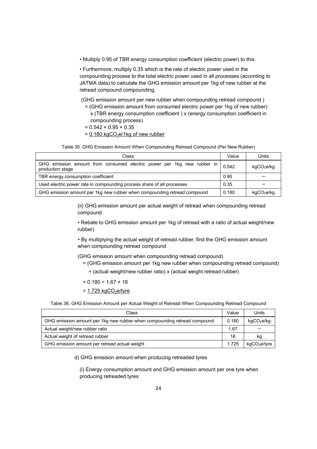• Multiply 0.95 of TBR energy consumption coefficient (electric power) to this.

• Furthermore, multiply 0.35 which is the rate of electric power used in the compounding process to the total electric power used in all processes (according to JATMA data) to calculate the GHG emission amount per 1kg of new rubber at the retread compound compounding.

(GHG emission amount per new rubber when compounding retread compound )

- = (GHG emission amount from consumed electric power per 1kg of new rubber) x (TBR energy consumption coefficient ) x (energy consumption coefficient in compounding process)
- $= 0.542 \times 0.95 \times 0.35$
- $= 0.180 \text{ kgCO}_2$ e/1kg of new rubber

Table 35. GHG Emission Amount When Compounding Retread Compound (Per New Rubber)

| Class                                                                                      | Value | Units                  |
|--------------------------------------------------------------------------------------------|-------|------------------------|
| GHG emission amount from consumed electric power per 1kg new rubber in<br>production stage | 0.542 | kgCO <sub>2</sub> e/kg |
| TBR energy consumption coefficient                                                         | 0.95  |                        |
| Used electric power rate in compounding process share of all processes                     | 0.35  |                        |
| GHG emission amount per 1kg new rubber when compounding retread compound                   | 0.180 | kgCO <sub>2</sub> e/kg |

(ii) GHG emission amount per actual weight of retread when compounding retread compound

• Rebate to GHG emission amount per 1kg of retread with a ratio of actual weight/new rubber)

• By multiplying the actual weight of retread rubber, find the GHG emission amount when compounding retread compound

- (GHG emission amount when compounding retread compound)
	- = (GHG emission amount per 1kg new rubber when compounding retread compound)
		- ÷ (actual weight/new rubber ratio) x (actual weight retread rubber)

 $= 0.180 \div 1.67 \times 16$ 

 $= 1.725$  kgCO<sub>2</sub>e/tyre

Table 36. GHG Emission Amount per Actual Weight of Retread When Compounding Retread Compound

| Class                                                                    |       | Units                    |
|--------------------------------------------------------------------------|-------|--------------------------|
| GHG emission amount per 1kg new rubber when compounding retread compound | 0.180 | kgCO <sub>2</sub> e/kg   |
| Actual weight/new rubber ratio                                           | 1.67  |                          |
| Actual weight of retread rubber                                          | 16    | kg                       |
| GHG emission amount per retread actual weight                            | 1.725 | kgCO <sub>2</sub> e/tyre |

d) GHG emission amount when producing retreaded tyres

(i) Energy consumption amount and GHG emission amount per one tyre when producing retreaded tyres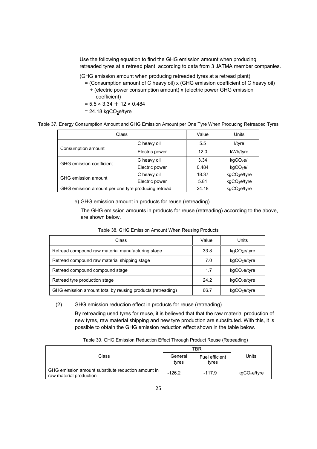Use the following equation to find the GHG emission amount when producing retreaded tyres at a retread plant, according to data from 3 JATMA member companies.

(GHG emission amount when producing retreaded tyres at a retread plant)

- = (Consumption amount of C heavy oil) x (GHG emission coefficient of C heavy oil) + (electric power consumption amount) x (electric power GHG emission coefficient)
- $= 5.5 \times 3.34 + 12 \times 0.484$
- $= 24.18 \text{ kgCO}_2$ e/tyre

Table 37. Energy Consumption Amount and GHG Emission Amount per One Tyre When Producing Retreaded Tyres

| Class                                              |                | Value | Units                    |
|----------------------------------------------------|----------------|-------|--------------------------|
|                                                    | C heavy oil    |       | l/tyre                   |
| Consumption amount                                 | Electric power | 12.0  | kWh/tyre                 |
| GHG emission coefficient                           | C heavy oil    | 3.34  | kgCO <sub>2</sub> e/l    |
|                                                    | Electric power | 0.484 | kgCO <sub>2</sub> e/I    |
| GHG emission amount                                | C heavy oil    | 18.37 | kgCO <sub>2</sub> e/tyre |
|                                                    | Electric power | 5.81  | kgCO <sub>2</sub> e/tyre |
| GHG emission amount per one tyre producing retread |                | 24.18 | kgCO <sub>2</sub> e/tyre |

e) GHG emission amount in products for reuse (retreading)

The GHG emission amounts in products for reuse (retreading) according to the above, are shown below.

| Class                                                      | Value | Units                    |
|------------------------------------------------------------|-------|--------------------------|
| Retread compound raw material manufacturing stage          | 33.8  | kgCO <sub>2</sub> e/tyre |
| Retread compound raw material shipping stage               | 7.0   | kgCO <sub>2</sub> e/tyre |
| Retread compound compound stage                            | 1.7   | kgCO <sub>2</sub> e/tyre |
| Retread tyre production stage                              | 24.2  | kgCO <sub>2</sub> e/tyre |
| GHG emission amount total by reusing products (retreading) | 66.7  | kgCO <sub>2</sub> e/tyre |

#### Table 38. GHG Emission Amount When Reusing Products

#### (2) GHG emission reduction effect in products for reuse (retreading)

By retreading used tyres for reuse, it is believed that that the raw material production of new tyres, raw material shipping and new tyre production are substituted. With this, it is possible to obtain the GHG emission reduction effect shown in the table below.

|                                                                               | TBR              |                         |                          |
|-------------------------------------------------------------------------------|------------------|-------------------------|--------------------------|
| Class                                                                         | General<br>tyres | Fuel efficient<br>tvres | Units                    |
| GHG emission amount substitute reduction amount in<br>raw material production | $-126.2$         | $-117.9$                | kgCO <sub>2</sub> e/tyre |

Table 39. GHG Emission Reduction Effect Through Product Reuse (Retreading)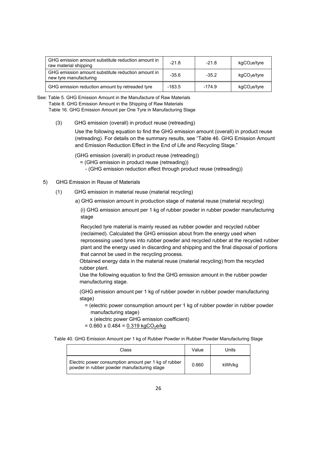| GHG emission amount substitute reduction amount in<br>raw material shipping  | $-21.8$  | $-21.8$  | kgCO <sub>2</sub> e/tyre |
|------------------------------------------------------------------------------|----------|----------|--------------------------|
| GHG emission amount substitute reduction amount in<br>new tyre manufacturing | $-35.6$  | $-35.2$  | kgCO <sub>2</sub> e/tyre |
| GHG emission reduction amount by retreaded tyre                              | $-183.5$ | $-174.9$ | kgCO <sub>2</sub> e/tyre |

See: Table 5. GHG Emission Amount in the Manufacture of Raw Materials Table 8. GHG Emission Amount in the Shipping of Raw Materials Table 16. GHG Emission Amount per One Tyre in Manufacturing Stage

(3) GHG emission (overall) in product reuse (retreading)

Use the following equation to find the GHG emission amount (overall) in product reuse (retreading). For details on the summary results, see "Table 46. GHG Emission Amount and Emission Reduction Effect in the End of Life and Recycling Stage."

(GHG emission (overall) in product reuse (retreading))

- = (GHG emission in product reuse (retreading))
	- (GHG emission reduction effect through product reuse (retreading))
- 5) GHG Emission in Reuse of Materials
	- (1) GHG emission in material reuse (material recycling)
		- a) GHG emission amount in production stage of material reuse (material recycling)

(i) GHG emission amount per 1 kg of rubber powder in rubber powder manufacturing stage

Recycled tyre material is mainly reused as rubber powder and recycled rubber (reclaimed). Calculated the GHG emission about from the energy used when reprocessing used tyres into rubber powder and recycled rubber at the recycled rubber plant and the energy used in discarding and shipping and the final disposal of portions that cannot be used in the recycling process.

Obtained energy data in the material reuse (material recycling) from the recycled rubber plant.

Use the following equation to find the GHG emission amount in the rubber powder manufacturing stage.

(GHG emission amount per 1 kg of rubber powder in rubber powder manufacturing stage)

- = (electric power consumption amount per 1 kg of rubber powder in rubber powder manufacturing stage)
	- x (electric power GHG emission coefficient)
- $= 0.660 \times 0.484 = 0.319 \text{ kgCO}_2$ e/kg

Table 40. GHG Emission Amount per 1 kg of Rubber Powder in Rubber Powder Manufacturing Stage

| Class                                                                                               | Value | Units  |
|-----------------------------------------------------------------------------------------------------|-------|--------|
| Electric power consumption amount per 1 kg of rubber<br>powder in rubber powder manufacturing stage | 0.660 | kWh/kg |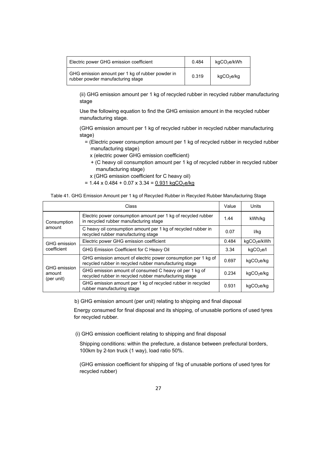| Electric power GHG emission coefficient                                               | 0.484 | kgCO <sub>2</sub> e/kWh |
|---------------------------------------------------------------------------------------|-------|-------------------------|
| GHG emission amount per 1 kg of rubber powder in<br>rubber powder manufacturing stage | 0.319 | kgCO <sub>2</sub> e/kg  |

(ii) GHG emission amount per 1 kg of recycled rubber in recycled rubber manufacturing stage

Use the following equation to find the GHG emission amount in the recycled rubber manufacturing stage.

(GHG emission amount per 1 kg of recycled rubber in recycled rubber manufacturing stage)

- = (Electric power consumption amount per 1 kg of recycled rubber in recycled rubber manufacturing stage)
	- x (electric power GHG emission coefficient)
	- + (C heavy oil consumption amount per 1 kg of recycled rubber in recycled rubber manufacturing stage)
	- x (GHG emission coefficient for C heavy oil)
- $= 1.44 \times 0.484 + 0.07 \times 3.34 = 0.931 \text{ kgCO}_2 \text{e/kg}$

Table 41. GHG Emission Amount per 1 kg of Recycled Rubber in Recycled Rubber Manufacturing Stage

| Class                                       |                                                                                                                         |       | Units                   |
|---------------------------------------------|-------------------------------------------------------------------------------------------------------------------------|-------|-------------------------|
| Consumption                                 | Electric power consumption amount per 1 kg of recycled rubber<br>in recycled rubber manufacturing stage                 |       | kWh/kg                  |
| amount                                      | C heavy oil consumption amount per 1 kg of recycled rubber in<br>recycled rubber manufacturing stage                    | 0.07  | l/kg                    |
| GHG emission                                | Electric power GHG emission coefficient                                                                                 | 0.484 | kgCO <sub>2</sub> e/kWh |
| coefficient                                 | GHG Emission Coefficient for C Heavy Oil                                                                                | 3.34  | kgCO <sub>2</sub> e/l   |
|                                             | GHG emission amount of electric power consumption per 1 kg of<br>recycled rubber in recycled rubber manufacturing stage | 0.697 | kgCO <sub>2</sub> e/kg  |
| <b>GHG</b> emission<br>amount<br>(per unit) | GHG emission amount of consumed C heavy oil per 1 kg of<br>recycled rubber in recycled rubber manufacturing stage       | 0.234 | kgCO <sub>2</sub> e/kg  |
|                                             | GHG emission amount per 1 kg of recycled rubber in recycled<br>rubber manufacturing stage                               | 0.931 | kgCO <sub>2</sub> e/kg  |

b) GHG emission amount (per unit) relating to shipping and final disposal

Energy consumed for final disposal and its shipping, of unusable portions of used tyres for recycled rubber.

(i) GHG emission coefficient relating to shipping and final disposal

Shipping conditions: within the prefecture, a distance between prefectural borders, 100km by 2-ton truck (1 way), load ratio 50%.

(GHG emission coefficient for shipping of 1kg of unusable portions of used tyres for recycled rubber)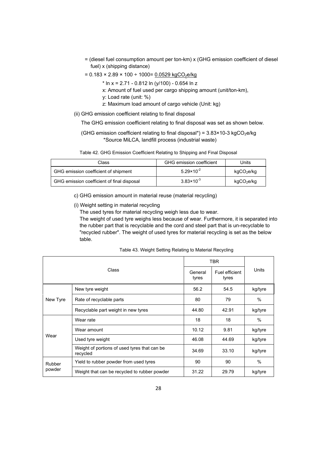- = (diesel fuel consumption amount per ton-km) x (GHG emission coefficient of diesel fuel) x (shipping distance)
- $= 0.183 \times 2.89 \times 100 \div 1000 = 0.0529 \text{ kgCO}_2\text{e/kg}$ 
	- $*$  ln x = 2.71 0.812 ln (y/100) 0.654 ln z
	- x: Amount of fuel used per cargo shipping amount (unit/ton-km),
	- y: Load rate (unit: %)
	- z: Maximum load amount of cargo vehicle (Unit: kg)
- (ii) GHG emission coefficient relating to final disposal

The GHG emission coefficient relating to final disposal was set as shown below.

(GHG emission coefficient relating to final disposal\*) =  $3.83 \times 10^{-3}$  kgCO<sub>2</sub>e/kg \*Source MiLCA, landfill process (industrial waste)

|  | Table 42. GHG Emission Coefficient Relating to Shipping and Final Disposal |  |  |  |
|--|----------------------------------------------------------------------------|--|--|--|
|  |                                                                            |  |  |  |

| <b>GHG</b> emission coefficient<br>Class   |                       | Units                  |
|--------------------------------------------|-----------------------|------------------------|
| GHG emission coefficient of shipment       | $5.29 \times 10^{-2}$ | kgCO <sub>2</sub> e/kg |
| GHG emission coefficient of final disposal | $3.83 \times 10^{-3}$ | kgCO <sub>2</sub> e/kg |

- c) GHG emission amount in material reuse (material recycling)
- (i) Weight setting in material recycling

The used tyres for material recycling weigh less due to wear.

The weight of used tyre weighs less because of wear. Furthermore, it is separated into the rubber part that is recyclable and the cord and steel part that is un-recyclable to "recycled rubber". The weight of used tyres for material recycling is set as the below table.

| Class    |                                                           | TBR              |                         |         |
|----------|-----------------------------------------------------------|------------------|-------------------------|---------|
|          |                                                           | General<br>tyres | Fuel efficient<br>tyres | Units   |
|          | New tyre weight                                           | 56.2             | 54.5                    | kg/tyre |
| New Tyre | Rate of recyclable parts                                  | 80               | 79                      | $\%$    |
|          | Recyclable part weight in new tyres                       | 44.80            | 42.91                   | kg/tyre |
| Wear     | Wear rate                                                 | 18               | 18                      | $\%$    |
|          | Wear amount                                               | 10.12            | 9.81                    | kg/tyre |
|          | Used tyre weight                                          | 46.08            | 44.69                   | kg/tyre |
|          | Weight of portions of used tyres that can be.<br>recycled | 34.69            | 33.10                   | kg/tyre |
| Rubber   | Yield to rubber powder from used tyres                    | 90               | 90                      | $\%$    |
| powder   | Weight that can be recycled to rubber powder              | 31.22            | 29.79                   | kg/tyre |

Table 43. Weight Setting Relating to Material Recycling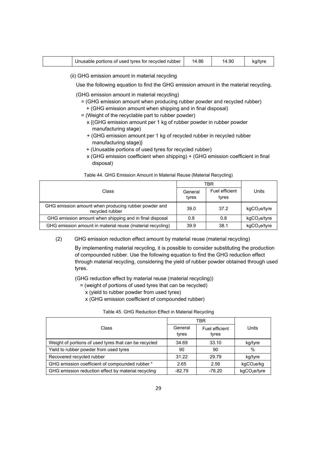| Unusable portions of used tyres for recycled rubber | . 86<br>14 | 14.90 |  |
|-----------------------------------------------------|------------|-------|--|
|-----------------------------------------------------|------------|-------|--|

(ii) GHG emission amount in material recycling

Use the following equation to find the GHG emission amount in the material recycling.

(GHG emission amount in material recycling)

- = (GHG emission amount when producing rubber powder and recycled rubber)
- + (GHG emission amount when shipping and in final disposal)
- = (Weight of the recyclable part to rubber powder)
	- x {(GHG emission amount per 1 kg of rubber powder in rubber powder manufacturing stage)
	- + (GHG emission amount per 1 kg of recycled rubber in recycled rubber manufacturing stage)}
	- + (Unusable portions of used tyres for recycled rubber)
	- x (GHG emission coefficient when shipping) + (GHG emission coefficient in final disposal)

|                                                                         | TBR              |                         |                          |
|-------------------------------------------------------------------------|------------------|-------------------------|--------------------------|
| Class                                                                   | General<br>tyres | Fuel efficient<br>tyres | Units                    |
| GHG emission amount when producing rubber powder and<br>recycled rubber | 39.0             | 37.2                    | kgCO <sub>2</sub> e/tyre |
| GHG emission amount when shipping and in final disposal                 | 0.8              | 0.8                     | kgCO <sub>2</sub> e/tyre |
| GHG emission amount in material reuse (material recycling)              | 39.9             | 38.1                    | kgCO <sub>2</sub> e/tyre |

Table 44. GHG Emission Amount in Material Reuse (Material Recycling)

(2) GHG emission reduction effect amount by material reuse (material recycling)

By implementing material recycling, it is possible to consider substituting the production of compounded rubber. Use the following equation to find the GHG reduction effect through material recycling, considering the yield of rubber powder obtained through used tyres.

(GHG reduction effect by material reuse (material recycling))

- = (weight of portions of used tyres that can be recycled)
	- x (yield to rubber powder from used tyres)
	- x (GHG emission coefficient of compounded rubber)

#### Table 45. GHG Reduction Effect in Material Recycling

|                                                       |                  | TBR                     |                          |
|-------------------------------------------------------|------------------|-------------------------|--------------------------|
| Class                                                 | General<br>tyres | Fuel efficient<br>tyres | Units                    |
| Weight of portions of used tyres that can be recycled | 34.69            | 33.10                   | kg/tyre                  |
| Yield to rubber powder from used tyres                | 90               | 90                      | $\%$                     |
| Recovered recycled rubber                             | 31.22            | 29.79                   | kg/tyre                  |
| GHG emission coefficient of compounded rubber *       | 2.65             | 2.56                    | kgCO <sub>2</sub> e/kg   |
| GHG emission reduction effect by material recycling   | $-82.79$         | $-76.20$                | kgCO <sub>2</sub> e/tyre |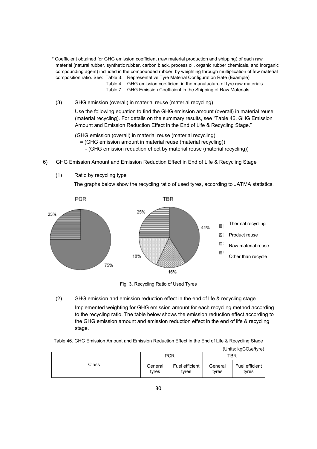- \* Coefficient obtained for GHG emission coefficient (raw material production and shipping) of each raw material (natural rubber, synthetic rubber, carbon black, process oil, organic rubber chemicals, and inorganic compounding agent) included in the compounded rubber, by weighting through multiplication of few material composition ratio. See: Table 3. Representative Tyre Material Configuration Rate (Example)
	- Table 4. GHG emission coefficient in the manufacture of tyre raw materials
	- Table 7. GHG Emission Coefficient in the Shipping of Raw Materials
	- (3) GHG emission (overall) in material reuse (material recycling)

Use the following equation to find the GHG emission amount (overall) in material reuse (material recycling). For details on the summary results, see "Table 46. GHG Emission Amount and Emission Reduction Effect in the End of Life & Recycling Stage."

(GHG emission (overall) in material reuse (material recycling)

- = (GHG emission amount in material reuse (material recycling))
	- (GHG emission reduction effect by material reuse (material recycling))
- 6) GHG Emission Amount and Emission Reduction Effect in End of Life & Recycling Stage
	- (1) Ratio by recycling type

The graphs below show the recycling ratio of used tyres, according to JATMA statistics.



Fig. 3. Recycling Ratio of Used Tyres

(2) GHG emission and emission reduction effect in the end of life & recycling stage

Implemented weighting for GHG emission amount for each recycling method according to the recycling ratio. The table below shows the emission reduction effect according to the GHG emission amount and emission reduction effect in the end of life & recycling stage.

Table 46. GHG Emission Amount and Emission Reduction Effect in the End of Life & Recycling Stage

|       |                  |                         |                  | (Units: $kgCO2e/type$ ) |
|-------|------------------|-------------------------|------------------|-------------------------|
|       |                  | <b>PCR</b>              | TBR              |                         |
| Class | General<br>tyres | Fuel efficient<br>tyres | General<br>tyres | Fuel efficient<br>tyres |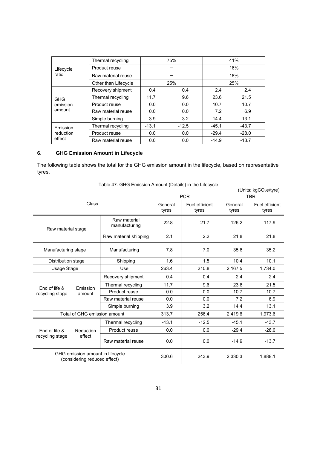|            | Thermal recycling    |         | 75%     | 41%     |         |
|------------|----------------------|---------|---------|---------|---------|
| Lifecycle  | Product reuse        |         |         |         | 16%     |
| ratio      | Raw material reuse   |         |         | 18%     |         |
|            | Other than Lifecycle |         | 25%     | 25%     |         |
|            | Recovery shipment    | 0.4     | 0.4     | 2.4     | 2.4     |
| <b>GHG</b> | Thermal recycling    | 11.7    | 9.6     | 23.6    | 21.5    |
| emission   | Product reuse        | 0.0     | 0.0     | 10.7    | 10.7    |
| amount     | Raw material reuse   | 0.0     | 0.0     | 7.2     | 6.9     |
|            | Simple burning       | 3.9     | 3.2     | 14.4    | 13.1    |
| Emission   | Thermal recycling    | $-13.1$ | $-12.5$ | $-45.1$ | $-43.7$ |
| reduction  | Product reuse        | 0.0     | 0.0     | $-29.4$ | $-28.0$ |
| effect     | Raw material reuse   | 0.0     | 0.0     | $-14.9$ | $-13.7$ |

### **6. GHG Emission Amount in Lifecycle**

The following table shows the total for the GHG emission amount in the lifecycle, based on representative tyres.

|                                                                  |                                     |                               |                  | <b>PCR</b>              |                  | (Units: kgCO <sub>2</sub> e/tyre)<br><b>TBR</b> |
|------------------------------------------------------------------|-------------------------------------|-------------------------------|------------------|-------------------------|------------------|-------------------------------------------------|
| Class                                                            |                                     |                               | General<br>tyres | Fuel efficient<br>tyres | General<br>tyres | Fuel efficient<br>tyres                         |
| Raw material stage                                               |                                     | Raw material<br>manufacturing | 22.8             | 21.7                    | 126.2            | 117.9                                           |
|                                                                  |                                     | Raw material shipping         | 2.1              | 2.2                     | 21.8             | 21.8                                            |
| Manufacturing stage                                              |                                     | Manufacturing                 | 7.8              | 7.0                     | 35.6             | 35.2                                            |
| Distribution stage                                               |                                     | Shipping                      | 1.6              | 1.5                     | 10.4             | 10.1                                            |
| Usage Stage                                                      |                                     | Use                           | 263.4            | 210.8                   | 2,167.5          | 1,734.0                                         |
|                                                                  | End of life &<br>Emission<br>amount | Recovery shipment             | 0.4              | 0.4                     | 2.4              | 2.4                                             |
|                                                                  |                                     | Thermal recycling             | 11.7             | 9.6                     | 23.6             | 21.5                                            |
| recycling stage                                                  |                                     | Product reuse                 | 0.0              | 0.0                     | 10.7             | 10.7                                            |
|                                                                  |                                     | Raw material reuse            | 0.0              | 0.0                     | 7.2              | 6.9                                             |
|                                                                  |                                     | Simple burning                | 3.9              | 3.2                     | 14.4             | 13.1                                            |
|                                                                  | Total of GHG emission amount        |                               | 313.7            | 256.4                   | 2,419.6          | 1,973.6                                         |
|                                                                  |                                     | Thermal recycling             | $-13.1$          | $-12.5$                 | $-45.1$          | $-43.7$                                         |
| End of life &                                                    | Reduction                           | Product reuse                 | 0.0              | 0.0                     | $-29.4$          | $-28.0$                                         |
| recycling stage                                                  | effect                              | Raw material reuse            | 0.0              | 0.0                     | $-14.9$          | $-13.7$                                         |
| GHG emission amount in lifecycle<br>(considering reduced effect) |                                     |                               | 300.6            | 243.9                   | 2,330.3          | 1,888.1                                         |

Table 47. GHG Emission Amount (Details) in the Lifecycle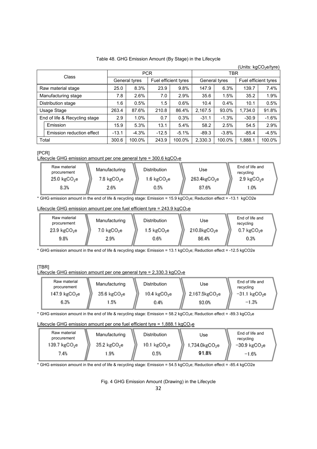#### Table 48. GHG Emission Amount (By Stage) in the Lifecycle

|                               | (Units: kgCO <sub>2</sub> e/tyre) |         |               |                      |         |               |            |                      |         |  |
|-------------------------------|-----------------------------------|---------|---------------|----------------------|---------|---------------|------------|----------------------|---------|--|
|                               |                                   |         | <b>PCR</b>    |                      |         |               | <b>TBR</b> |                      |         |  |
| Class                         |                                   |         | General tyres | Fuel efficient tyres |         | General tyres |            | Fuel efficient tyres |         |  |
|                               | Raw material stage                | 25.0    | 8.3%          | 23.9                 | 9.8%    | 147.9         | 6.3%       | 139.7                | 7.4%    |  |
| Manufacturing stage           |                                   | 7.8     | 2.6%          | 7.0                  | 2.9%    | 35.6          | 1.5%       | 35.2                 | 1.9%    |  |
| Distribution stage            |                                   | 1.6     | 0.5%          | 1.5                  | 0.6%    | 10.4          | 0.4%       | 10.1                 | 0.5%    |  |
| Usage Stage                   |                                   | 263.4   | 87.6%         | 210.8                | 86.4%   | 2,167.5       | 93.0%      | 1,734.0              | 91.8%   |  |
| End of life & Recycling stage |                                   | 2.9     | 1.0%          | 0.7                  | 0.3%    | $-31.1$       | $-1.3%$    | $-30.9$              | $-1.6%$ |  |
|                               | Emission                          | 15.9    | 5.3%          | 13.1                 | 5.4%    | 58.2          | 2.5%       | 54.5                 | 2.9%    |  |
|                               | Emission reduction effect         | $-13.1$ | $-4.3%$       | $-12.5$              | $-5.1%$ | $-89.3$       | $-3.8%$    | $-85.4$              | $-4.5%$ |  |
|                               | Total                             | 300.6   | 100.0%        | 243.9                | 100.0%  | 2,330.3       | 100.0%     | 1,888.1              | 100.0%  |  |

[PCR]

Lifecycle GHG emission amount per one general tyre =  $300.6 \text{ kgCO}_2$ e

| Raw material<br>procurement<br>25.0 kgCO <sub>2</sub> e | Manufacturing<br>$7.8 \text{ kgCO}_2$ e | <b>Distribution</b><br>$1.6 \text{ kgCO}_2$ e | Use<br>263.4kgCO <sub>2</sub> e | End of life and<br>recycling<br>$2.9 \text{ kgCO}_2$ e |
|---------------------------------------------------------|-----------------------------------------|-----------------------------------------------|---------------------------------|--------------------------------------------------------|
| 8.3%                                                    | 2.6%                                    | 0.5%                                          | 87.6%                           | 1.0%                                                   |

\* GHG emission amount in the end of life & recycling stage: Emission = 15.9 kgCO2e; Reduction effect = -13.1 kgCO2e

#### Lifecycle GHG emission amount per one fuel efficient tyre =  $243.9 \text{ kgCO}_2e$

| Raw material<br>procurement | Manufacturing          | <b>Distribution</b>    | Use               | End of life and<br>recycling |
|-----------------------------|------------------------|------------------------|-------------------|------------------------------|
| $23.9~\text{kgCO}_2$ e      | $7.0 \text{ kgCO}_2$ e | $1.5 \text{ kgCO}_2$ e | $210.8$ kg $CO2e$ | $0.7 \text{ kgCO}_2$ e       |
| 9.8%                        | 2.9%                   | 0.6%                   | 86.4%             | 0.3%                         |

\* GHG emission amount in the end of life & recycling stage: Emission = 13.1 kgCO2e; Reduction effect = -12.5 kgCO2e

#### [TBR] Lifecycle GHG emission amount per one general tyre =  $2,330.3$  kgCO<sub>2</sub>e

| Raw material<br>procurement | Manufacturing           | <b>Distribution</b>    | Use                 | End of life and<br>recycling |
|-----------------------------|-------------------------|------------------------|---------------------|------------------------------|
| 147.9 $kgCO2e$              | $35.6 \text{ kgCO}_2$ e | $10.4~\text{kgCO}_2$ e | $2,167.5$ kg $CO2e$ | $-31.1$ kgCO <sub>2</sub> e  |
| 6.3%                        | 1.5%                    | 0.4%                   | 93.0%               | $-1.3%$                      |

\* GHG emission amount in the end of life & recycling stage: Emission = 58.2 kgCO2e; Reduction effect = -89.3 kgCO2e

#### Lifecycle GHG emission amount per one fuel efficient tyre =  $1,888.1$  kgCO<sub>2</sub>e

| Raw material<br>procurement<br>139.7 $kgCO2e$ | Manufacturing<br>35.2 kgCO <sub>2</sub> e | <b>Distribution</b><br>$10.1~\text{kgCO}_2$ e | Use<br>$1,734.0$ kg $CO2e$ | End of life and<br>recycling<br>$-30.9$ kgCO <sub>2</sub> e |
|-----------------------------------------------|-------------------------------------------|-----------------------------------------------|----------------------------|-------------------------------------------------------------|
| 7.4%                                          | 1.9%                                      | 0.5%                                          | 91.8%                      | $-1.6%$                                                     |

\* GHG emission amount in the end of life & recycling stage: Emission = 54.5 kgCO2e; Reduction effect = -85.4 kgCO2e

Fig. 4 GHG Emission Amount (Drawing) in the Lifecycle